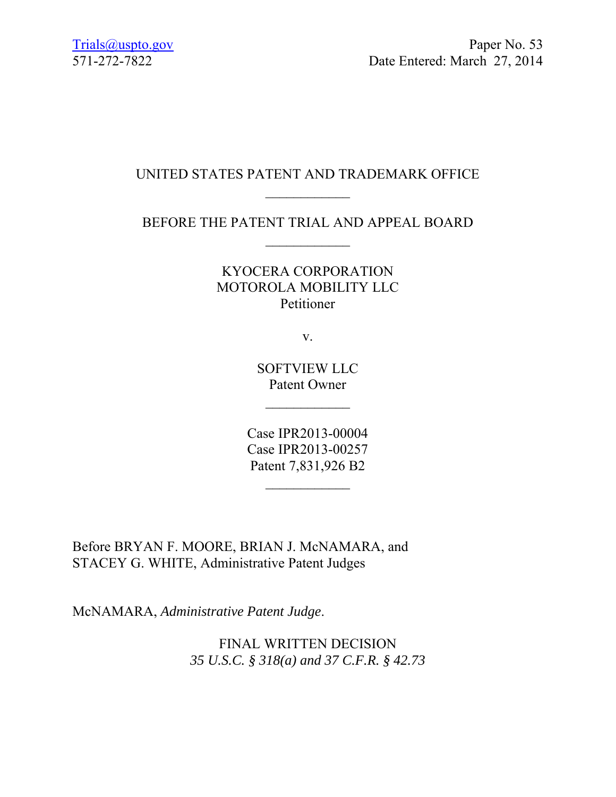#### UNITED STATES PATENT AND TRADEMARK OFFICE  $\frac{1}{2}$

## BEFORE THE PATENT TRIAL AND APPEAL BOARD

#### KYOCERA CORPORATION MOTOROLA MOBILITY LLC Petitioner

v.

SOFTVIEW LLC Patent Owner

 $\frac{1}{2}$  ,  $\frac{1}{2}$  ,  $\frac{1}{2}$  ,  $\frac{1}{2}$ 

Case IPR2013-00004 Case IPR2013-00257 Patent 7,831,926 B2

Before BRYAN F. MOORE, BRIAN J. McNAMARA, and STACEY G. WHITE, Administrative Patent Judges

McNAMARA, *Administrative Patent Judge*.

FINAL WRITTEN DECISION *35 U.S.C. § 318(a) and 37 C.F.R. § 42.73*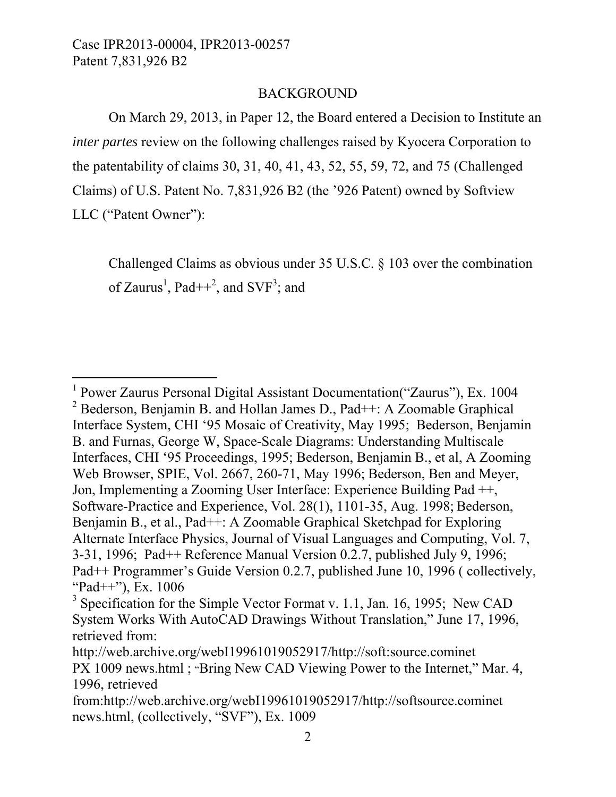l

#### BACKGROUND

On March 29, 2013, in Paper 12, the Board entered a Decision to Institute an *inter partes* review on the following challenges raised by Kyocera Corporation to the patentability of claims 30, 31, 40, 41, 43, 52, 55, 59, 72, and 75 (Challenged Claims) of U.S. Patent No. 7,831,926 B2 (the '926 Patent) owned by Softview LLC ("Patent Owner"):

Challenged Claims as obvious under 35 U.S.C. § 103 over the combination of Zaurus<sup>1</sup>, Pad $++^2$ , and SVF<sup>3</sup>; and

<sup>1</sup> Power Zaurus Personal Digital Assistant Documentation("Zaurus"), Ex. 1004 <sup>2</sup> Bederson, Benjamin B. and Hollan James D., Pad++: A Zoomable Graphical Interface System, CHI '95 Mosaic of Creativity, May 1995; Bederson, Benjamin B. and Furnas, George W, Space-Scale Diagrams: Understanding Multiscale Interfaces, CHI '95 Proceedings, 1995; Bederson, Benjamin B., et al, A Zooming Web Browser, SPIE, Vol. 2667, 260-71, May 1996; Bederson, Ben and Meyer, Jon, Implementing a Zooming User Interface: Experience Building Pad ++, Software-Practice and Experience, Vol. 28(1), 1101-35, Aug. 1998; Bederson, Benjamin B., et al., Pad++: A Zoomable Graphical Sketchpad for Exploring Alternate Interface Physics, Journal of Visual Languages and Computing, Vol. 7, 3-31, 1996; Pad++ Reference Manual Version 0.2.7, published July 9, 1996; Pad++ Programmer's Guide Version 0.2.7, published June 10, 1996 ( collectively, "Pad $++$ "), Ex. 1006

 $3$  Specification for the Simple Vector Format v. 1.1, Jan. 16, 1995; New CAD System Works With AutoCAD Drawings Without Translation," June 17, 1996, retrieved from:

http://web.archive.org/webI19961019052917/http://soft:source.cominet PX 1009 news.html ; "Bring New CAD Viewing Power to the Internet," Mar. 4, 1996, retrieved

from:http://web.archive.org/webI19961019052917/http://softsource.cominet news.html, (collectively, "SVF"), Ex. 1009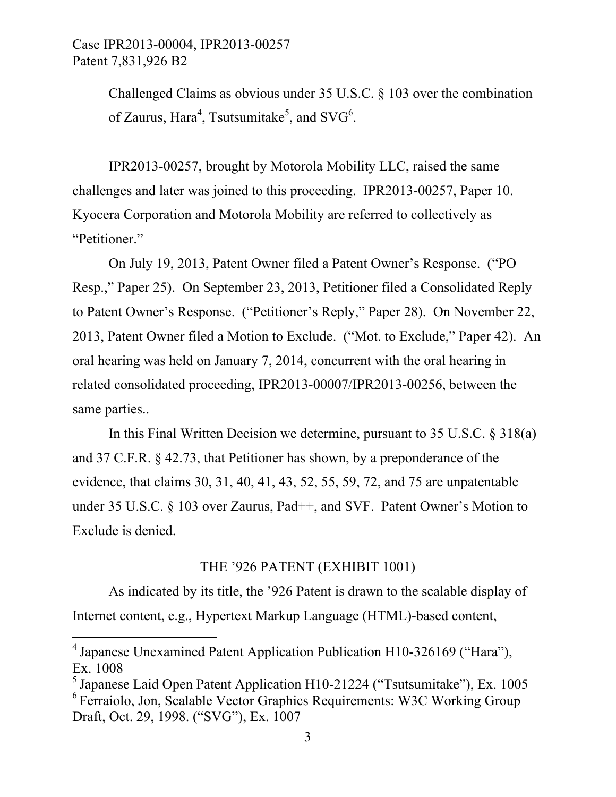> Challenged Claims as obvious under 35 U.S.C. § 103 over the combination of Zaurus, Hara<sup>4</sup>, Tsutsumitake<sup>5</sup>, and SVG<sup>6</sup>.

IPR2013-00257, brought by Motorola Mobility LLC, raised the same challenges and later was joined to this proceeding. IPR2013-00257, Paper 10. Kyocera Corporation and Motorola Mobility are referred to collectively as "Petitioner."

On July 19, 2013, Patent Owner filed a Patent Owner's Response. ("PO Resp.," Paper 25). On September 23, 2013, Petitioner filed a Consolidated Reply to Patent Owner's Response. ("Petitioner's Reply," Paper 28). On November 22, 2013, Patent Owner filed a Motion to Exclude. ("Mot. to Exclude," Paper 42). An oral hearing was held on January 7, 2014, concurrent with the oral hearing in related consolidated proceeding, IPR2013-00007/IPR2013-00256, between the same parties..

In this Final Written Decision we determine, pursuant to 35 U.S.C. § 318(a) and 37 C.F.R. § 42.73, that Petitioner has shown, by a preponderance of the evidence, that claims 30, 31, 40, 41, 43, 52, 55, 59, 72, and 75 are unpatentable under 35 U.S.C. § 103 over Zaurus, Pad++, and SVF. Patent Owner's Motion to Exclude is denied.

#### THE '926 PATENT (EXHIBIT 1001)

As indicated by its title, the '926 Patent is drawn to the scalable display of Internet content, e.g., Hypertext Markup Language (HTML)-based content,

l

<sup>4</sup> Japanese Unexamined Patent Application Publication H10-326169 ("Hara"), Ex. 1008

 $<sup>5</sup>$  Japanese Laid Open Patent Application H10-21224 ("Tsutsumitake"), Ex. 1005</sup> <sup>6</sup> Ferraiolo, Jon, Scalable Vector Graphics Requirements: W3C Working Group Draft, Oct. 29, 1998. ("SVG"), Ex. 1007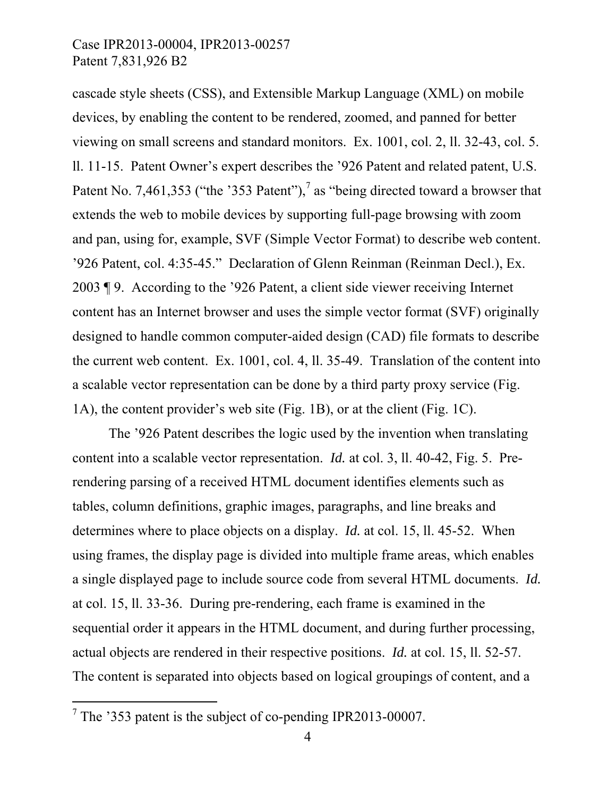cascade style sheets (CSS), and Extensible Markup Language (XML) on mobile devices, by enabling the content to be rendered, zoomed, and panned for better viewing on small screens and standard monitors. Ex. 1001, col. 2, ll. 32-43, col. 5. ll. 11-15. Patent Owner's expert describes the '926 Patent and related patent, U.S. Patent No. 7,461,353 ("the '353 Patent"),<sup>7</sup> as "being directed toward a browser that extends the web to mobile devices by supporting full-page browsing with zoom and pan, using for, example, SVF (Simple Vector Format) to describe web content. '926 Patent, col. 4:35-45." Declaration of Glenn Reinman (Reinman Decl.), Ex. 2003 ¶ 9. According to the '926 Patent, a client side viewer receiving Internet content has an Internet browser and uses the simple vector format (SVF) originally designed to handle common computer-aided design (CAD) file formats to describe the current web content. Ex. 1001, col. 4, ll. 35-49. Translation of the content into a scalable vector representation can be done by a third party proxy service (Fig. 1A), the content provider's web site (Fig. 1B), or at the client (Fig. 1C).

The '926 Patent describes the logic used by the invention when translating content into a scalable vector representation. *Id.* at col. 3, ll. 40-42, Fig. 5. Prerendering parsing of a received HTML document identifies elements such as tables, column definitions, graphic images, paragraphs, and line breaks and determines where to place objects on a display. *Id.* at col. 15, ll. 45-52. When using frames, the display page is divided into multiple frame areas, which enables a single displayed page to include source code from several HTML documents. *Id.* at col. 15, ll. 33-36. During pre-rendering, each frame is examined in the sequential order it appears in the HTML document, and during further processing, actual objects are rendered in their respective positions. *Id.* at col. 15, ll. 52-57. The content is separated into objects based on logical groupings of content, and a

-

<sup>&</sup>lt;sup>7</sup> The '353 patent is the subject of co-pending IPR2013-00007.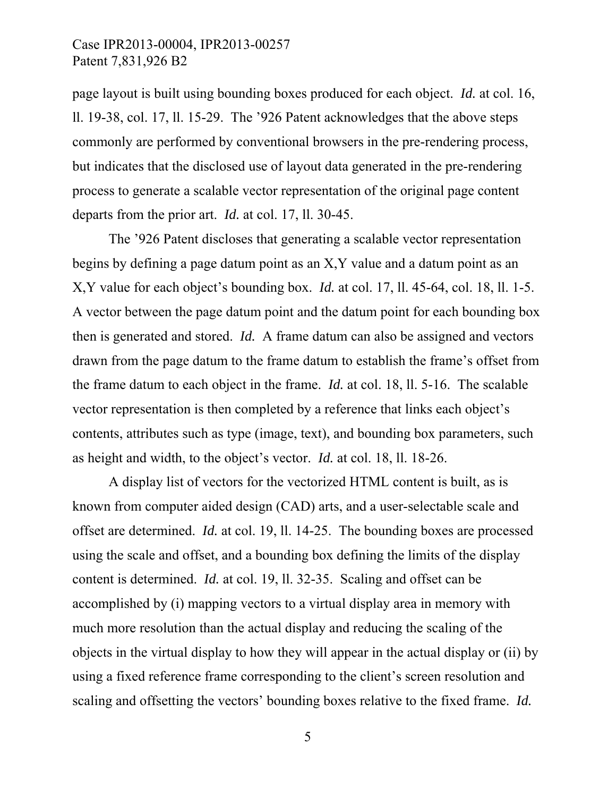page layout is built using bounding boxes produced for each object. *Id.* at col. 16, ll. 19-38, col. 17, ll. 15-29. The '926 Patent acknowledges that the above steps commonly are performed by conventional browsers in the pre-rendering process, but indicates that the disclosed use of layout data generated in the pre-rendering process to generate a scalable vector representation of the original page content departs from the prior art. *Id.* at col. 17, ll. 30-45.

The '926 Patent discloses that generating a scalable vector representation begins by defining a page datum point as an X,Y value and a datum point as an X,Y value for each object's bounding box. *Id.* at col. 17, ll. 45-64, col. 18, ll. 1-5. A vector between the page datum point and the datum point for each bounding box then is generated and stored. *Id.* A frame datum can also be assigned and vectors drawn from the page datum to the frame datum to establish the frame's offset from the frame datum to each object in the frame. *Id.* at col. 18, ll. 5-16. The scalable vector representation is then completed by a reference that links each object's contents, attributes such as type (image, text), and bounding box parameters, such as height and width, to the object's vector. *Id.* at col. 18, ll. 18-26.

A display list of vectors for the vectorized HTML content is built, as is known from computer aided design (CAD) arts, and a user-selectable scale and offset are determined. *Id.* at col. 19, ll. 14-25. The bounding boxes are processed using the scale and offset, and a bounding box defining the limits of the display content is determined. *Id.* at col. 19, ll. 32-35. Scaling and offset can be accomplished by (i) mapping vectors to a virtual display area in memory with much more resolution than the actual display and reducing the scaling of the objects in the virtual display to how they will appear in the actual display or (ii) by using a fixed reference frame corresponding to the client's screen resolution and scaling and offsetting the vectors' bounding boxes relative to the fixed frame. *Id.*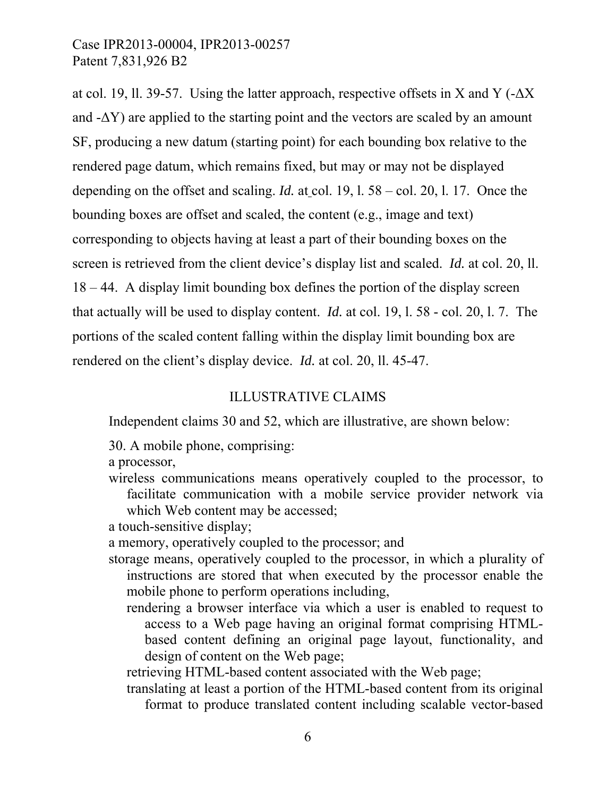at col. 19, ll. 39-57. Using the latter approach, respective offsets in X and Y ( $-\Delta X$ ) and  $-\Delta Y$ ) are applied to the starting point and the vectors are scaled by an amount SF, producing a new datum (starting point) for each bounding box relative to the rendered page datum, which remains fixed, but may or may not be displayed depending on the offset and scaling. *Id.* at col. 19, l. 58 – col. 20, l. 17. Once the bounding boxes are offset and scaled, the content (e.g., image and text) corresponding to objects having at least a part of their bounding boxes on the screen is retrieved from the client device's display list and scaled. *Id.* at col. 20, ll. 18 – 44. A display limit bounding box defines the portion of the display screen that actually will be used to display content. *Id.* at col. 19, l. 58 - col. 20, l. 7. The portions of the scaled content falling within the display limit bounding box are rendered on the client's display device. *Id.* at col. 20, ll. 45-47.

#### ILLUSTRATIVE CLAIMS

Independent claims 30 and 52, which are illustrative, are shown below:

30. A mobile phone, comprising:

a processor,

wireless communications means operatively coupled to the processor, to facilitate communication with a mobile service provider network via which Web content may be accessed;

a touch-sensitive display;

a memory, operatively coupled to the processor; and

- storage means, operatively coupled to the processor, in which a plurality of instructions are stored that when executed by the processor enable the mobile phone to perform operations including,
	- rendering a browser interface via which a user is enabled to request to access to a Web page having an original format comprising HTMLbased content defining an original page layout, functionality, and design of content on the Web page;

retrieving HTML-based content associated with the Web page;

translating at least a portion of the HTML-based content from its original format to produce translated content including scalable vector-based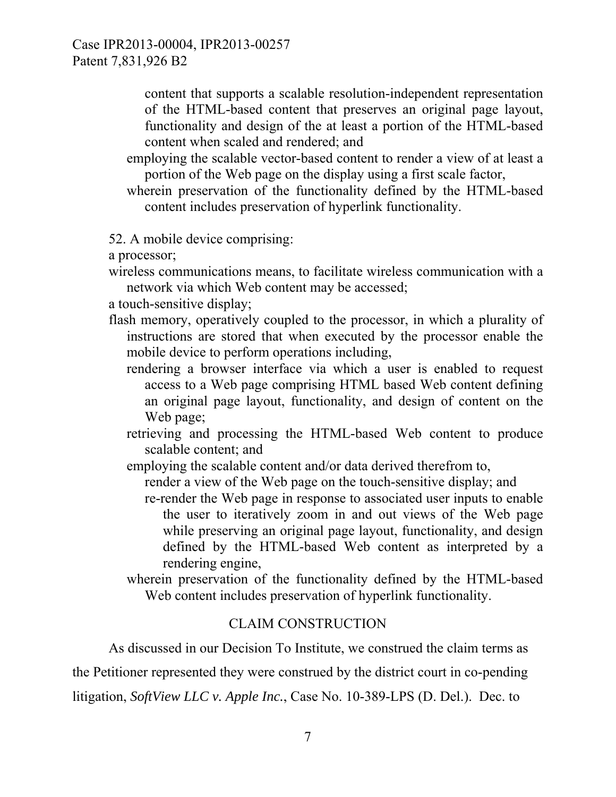> content that supports a scalable resolution-independent representation of the HTML-based content that preserves an original page layout, functionality and design of the at least a portion of the HTML-based content when scaled and rendered; and

- employing the scalable vector-based content to render a view of at least a portion of the Web page on the display using a first scale factor,
- wherein preservation of the functionality defined by the HTML-based content includes preservation of hyperlink functionality.

52. A mobile device comprising:

a processor;

wireless communications means, to facilitate wireless communication with a network via which Web content may be accessed;

a touch-sensitive display;

- flash memory, operatively coupled to the processor, in which a plurality of instructions are stored that when executed by the processor enable the mobile device to perform operations including,
	- rendering a browser interface via which a user is enabled to request access to a Web page comprising HTML based Web content defining an original page layout, functionality, and design of content on the Web page;
	- retrieving and processing the HTML-based Web content to produce scalable content; and
	- employing the scalable content and/or data derived therefrom to,

render a view of the Web page on the touch-sensitive display; and

- re-render the Web page in response to associated user inputs to enable the user to iteratively zoom in and out views of the Web page while preserving an original page layout, functionality, and design defined by the HTML-based Web content as interpreted by a rendering engine,
- wherein preservation of the functionality defined by the HTML-based Web content includes preservation of hyperlink functionality.

#### CLAIM CONSTRUCTION

As discussed in our Decision To Institute, we construed the claim terms as

the Petitioner represented they were construed by the district court in co-pending

litigation, *SoftView LLC v. Apple Inc.*, Case No. 10-389-LPS (D. Del.). Dec. to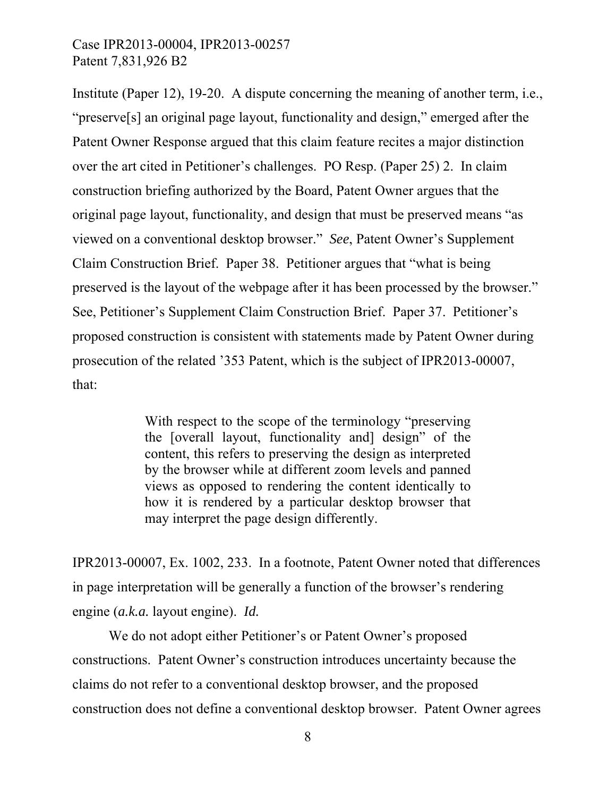Institute (Paper 12), 19-20. A dispute concerning the meaning of another term, i.e., "preserve[s] an original page layout, functionality and design," emerged after the Patent Owner Response argued that this claim feature recites a major distinction over the art cited in Petitioner's challenges. PO Resp. (Paper 25) 2. In claim construction briefing authorized by the Board, Patent Owner argues that the original page layout, functionality, and design that must be preserved means "as viewed on a conventional desktop browser." *See*, Patent Owner's Supplement Claim Construction Brief. Paper 38. Petitioner argues that "what is being preserved is the layout of the webpage after it has been processed by the browser." See, Petitioner's Supplement Claim Construction Brief. Paper 37. Petitioner's proposed construction is consistent with statements made by Patent Owner during prosecution of the related '353 Patent, which is the subject of IPR2013-00007, that:

> With respect to the scope of the terminology "preserving" the [overall layout, functionality and] design" of the content, this refers to preserving the design as interpreted by the browser while at different zoom levels and panned views as opposed to rendering the content identically to how it is rendered by a particular desktop browser that may interpret the page design differently.

IPR2013-00007, Ex. 1002, 233. In a footnote, Patent Owner noted that differences in page interpretation will be generally a function of the browser's rendering engine (*a.k.a.* layout engine). *Id.*

We do not adopt either Petitioner's or Patent Owner's proposed constructions. Patent Owner's construction introduces uncertainty because the claims do not refer to a conventional desktop browser, and the proposed construction does not define a conventional desktop browser. Patent Owner agrees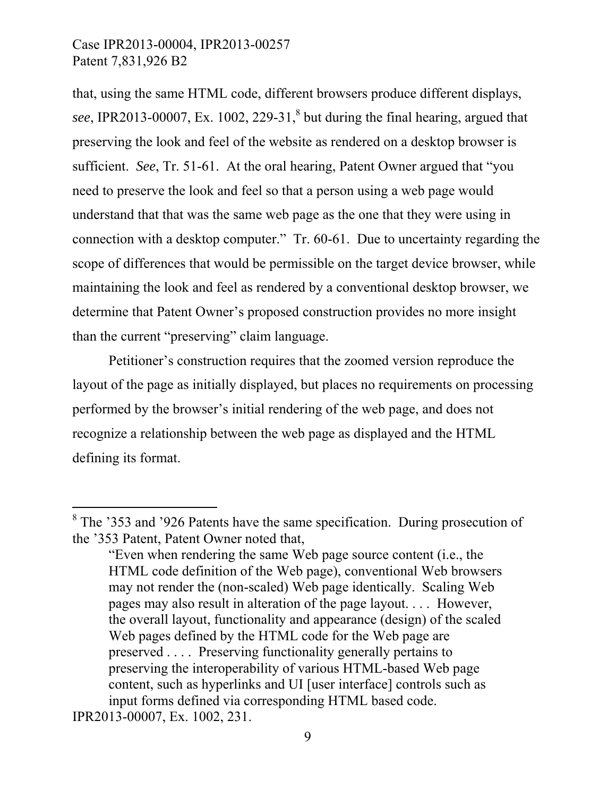$\overline{a}$ 

that, using the same HTML code, different browsers produce different displays, see, IPR2013-00007, Ex.  $1002$ ,  $229-31$ ,<sup>8</sup> but during the final hearing, argued that preserving the look and feel of the website as rendered on a desktop browser is sufficient. *See*, Tr. 51-61. At the oral hearing, Patent Owner argued that "you need to preserve the look and feel so that a person using a web page would understand that that was the same web page as the one that they were using in connection with a desktop computer." Tr. 60-61. Due to uncertainty regarding the scope of differences that would be permissible on the target device browser, while maintaining the look and feel as rendered by a conventional desktop browser, we determine that Patent Owner's proposed construction provides no more insight than the current "preserving" claim language.

Petitioner's construction requires that the zoomed version reproduce the layout of the page as initially displayed, but places no requirements on processing performed by the browser's initial rendering of the web page, and does not recognize a relationship between the web page as displayed and the HTML defining its format.

<sup>&</sup>lt;sup>8</sup> The '353 and '926 Patents have the same specification. During prosecution of the '353 Patent, Patent Owner noted that,

<sup>&</sup>quot;Even when rendering the same Web page source content (i.e., the HTML code definition of the Web page), conventional Web browsers may not render the (non-scaled) Web page identically. Scaling Web pages may also result in alteration of the page layout. . . . However, the overall layout, functionality and appearance (design) of the scaled Web pages defined by the HTML code for the Web page are preserved . . . . Preserving functionality generally pertains to preserving the interoperability of various HTML-based Web page content, such as hyperlinks and UI [user interface] controls such as input forms defined via corresponding HTML based code. IPR2013-00007, Ex. 1002, 231.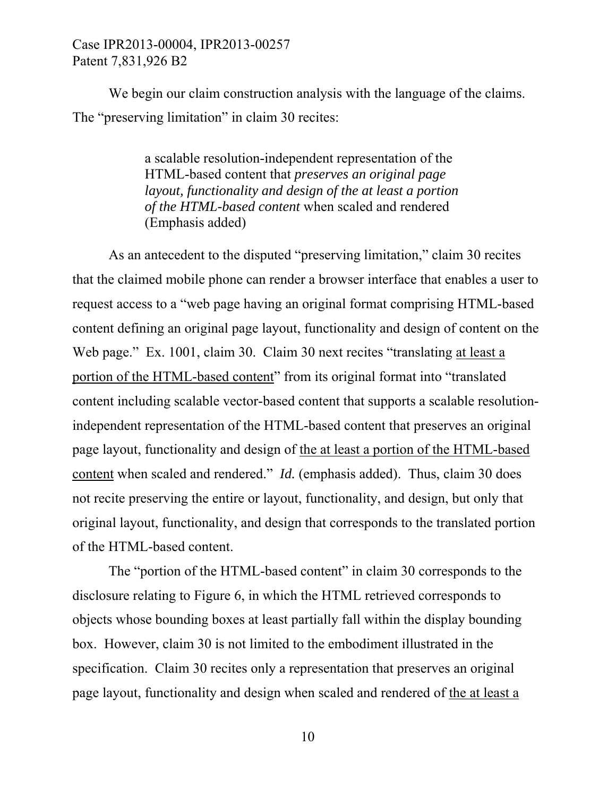We begin our claim construction analysis with the language of the claims. The "preserving limitation" in claim 30 recites:

> a scalable resolution-independent representation of the HTML-based content that *preserves an original page layout, functionality and design of the at least a portion of the HTML-based content* when scaled and rendered (Emphasis added)

As an antecedent to the disputed "preserving limitation," claim 30 recites that the claimed mobile phone can render a browser interface that enables a user to request access to a "web page having an original format comprising HTML-based content defining an original page layout, functionality and design of content on the Web page." Ex. 1001, claim 30. Claim 30 next recites "translating at least a portion of the HTML-based content" from its original format into "translated content including scalable vector-based content that supports a scalable resolutionindependent representation of the HTML-based content that preserves an original page layout, functionality and design of the at least a portion of the HTML-based content when scaled and rendered." *Id.* (emphasis added). Thus, claim 30 does not recite preserving the entire or layout, functionality, and design, but only that original layout, functionality, and design that corresponds to the translated portion of the HTML-based content.

The "portion of the HTML-based content" in claim 30 corresponds to the disclosure relating to Figure 6, in which the HTML retrieved corresponds to objects whose bounding boxes at least partially fall within the display bounding box. However, claim 30 is not limited to the embodiment illustrated in the specification. Claim 30 recites only a representation that preserves an original page layout, functionality and design when scaled and rendered of the at least a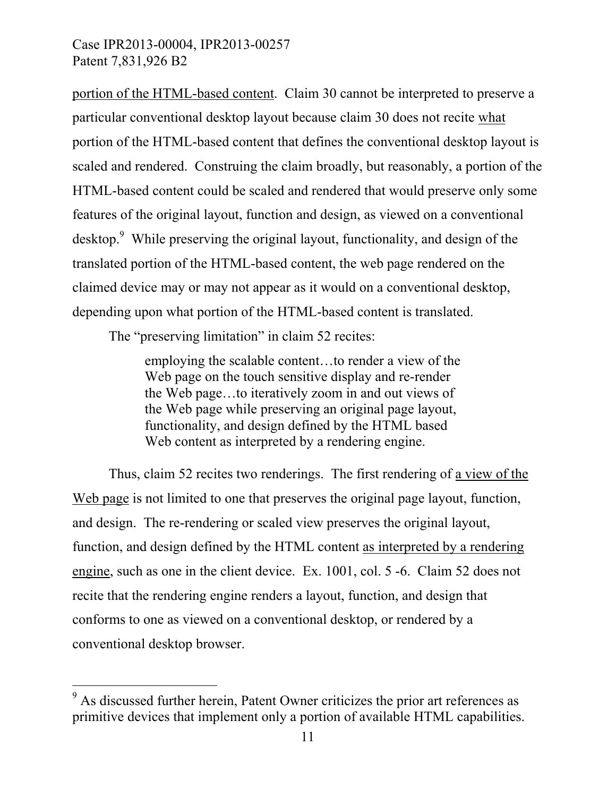portion of the HTML-based content. Claim 30 cannot be interpreted to preserve a particular conventional desktop layout because claim 30 does not recite what portion of the HTML-based content that defines the conventional desktop layout is scaled and rendered. Construing the claim broadly, but reasonably, a portion of the HTML-based content could be scaled and rendered that would preserve only some features of the original layout, function and design, as viewed on a conventional desktop.<sup>9</sup> While preserving the original layout, functionality, and design of the translated portion of the HTML-based content, the web page rendered on the claimed device may or may not appear as it would on a conventional desktop, depending upon what portion of the HTML-based content is translated.

The "preserving limitation" in claim 52 recites:

employing the scalable content…to render a view of the Web page on the touch sensitive display and re-render the Web page…to iteratively zoom in and out views of the Web page while preserving an original page layout, functionality, and design defined by the HTML based Web content as interpreted by a rendering engine.

Thus, claim 52 recites two renderings. The first rendering of a view of the Web page is not limited to one that preserves the original page layout, function, and design. The re-rendering or scaled view preserves the original layout, function, and design defined by the HTML content as interpreted by a rendering engine, such as one in the client device. Ex. 1001, col. 5 -6. Claim 52 does not recite that the rendering engine renders a layout, function, and design that conforms to one as viewed on a conventional desktop, or rendered by a conventional desktop browser.

 $\overline{a}$ 

<sup>&</sup>lt;sup>9</sup> As discussed further herein, Patent Owner criticizes the prior art references as primitive devices that implement only a portion of available HTML capabilities.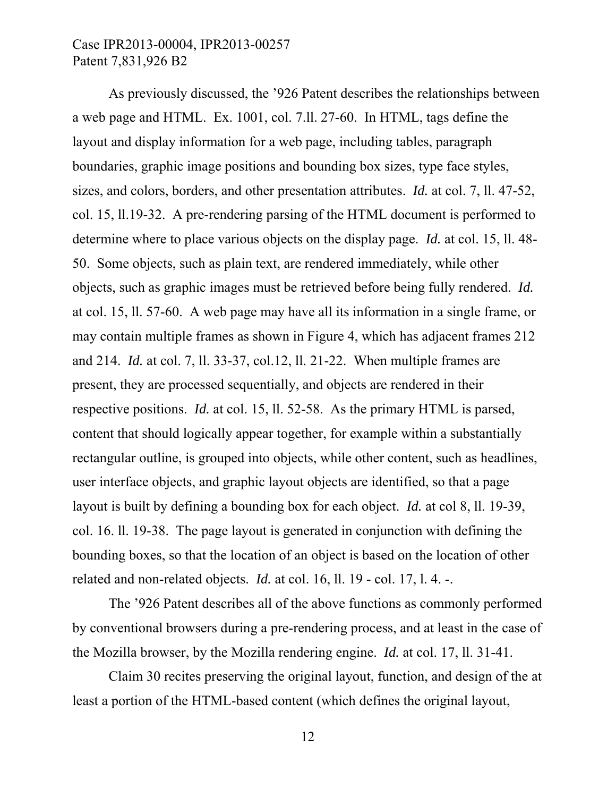As previously discussed, the '926 Patent describes the relationships between a web page and HTML. Ex. 1001, col. 7.ll. 27-60. In HTML, tags define the layout and display information for a web page, including tables, paragraph boundaries, graphic image positions and bounding box sizes, type face styles, sizes, and colors, borders, and other presentation attributes. *Id.* at col. 7, ll. 47-52, col. 15, ll.19-32. A pre-rendering parsing of the HTML document is performed to determine where to place various objects on the display page. *Id.* at col. 15, ll. 48- 50. Some objects, such as plain text, are rendered immediately, while other objects, such as graphic images must be retrieved before being fully rendered. *Id.* at col. 15, ll. 57-60. A web page may have all its information in a single frame, or may contain multiple frames as shown in Figure 4, which has adjacent frames 212 and 214. *Id.* at col. 7, ll. 33-37, col.12, ll. 21-22. When multiple frames are present, they are processed sequentially, and objects are rendered in their respective positions. *Id.* at col. 15, ll. 52-58. As the primary HTML is parsed, content that should logically appear together, for example within a substantially rectangular outline, is grouped into objects, while other content, such as headlines, user interface objects, and graphic layout objects are identified, so that a page layout is built by defining a bounding box for each object. *Id.* at col 8, ll. 19-39, col. 16. ll. 19-38. The page layout is generated in conjunction with defining the bounding boxes, so that the location of an object is based on the location of other related and non-related objects. *Id.* at col. 16, ll. 19 - col. 17, l. 4. -.

The '926 Patent describes all of the above functions as commonly performed by conventional browsers during a pre-rendering process, and at least in the case of the Mozilla browser, by the Mozilla rendering engine. *Id.* at col. 17, ll. 31-41.

Claim 30 recites preserving the original layout, function, and design of the at least a portion of the HTML-based content (which defines the original layout,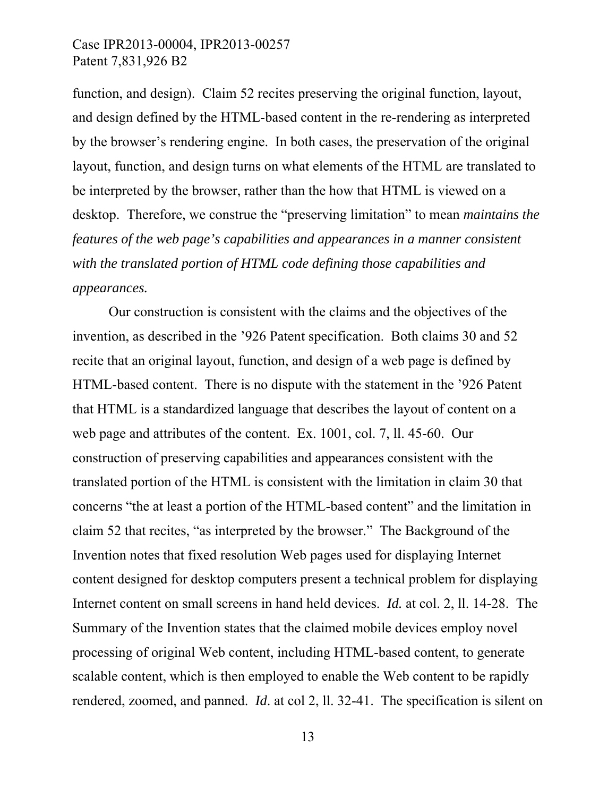function, and design). Claim 52 recites preserving the original function, layout, and design defined by the HTML-based content in the re-rendering as interpreted by the browser's rendering engine. In both cases, the preservation of the original layout, function, and design turns on what elements of the HTML are translated to be interpreted by the browser, rather than the how that HTML is viewed on a desktop. Therefore, we construe the "preserving limitation" to mean *maintains the features of the web page's capabilities and appearances in a manner consistent with the translated portion of HTML code defining those capabilities and appearances.* 

Our construction is consistent with the claims and the objectives of the invention, as described in the '926 Patent specification. Both claims 30 and 52 recite that an original layout, function, and design of a web page is defined by HTML-based content. There is no dispute with the statement in the '926 Patent that HTML is a standardized language that describes the layout of content on a web page and attributes of the content. Ex. 1001, col. 7, ll. 45-60. Our construction of preserving capabilities and appearances consistent with the translated portion of the HTML is consistent with the limitation in claim 30 that concerns "the at least a portion of the HTML-based content" and the limitation in claim 52 that recites, "as interpreted by the browser." The Background of the Invention notes that fixed resolution Web pages used for displaying Internet content designed for desktop computers present a technical problem for displaying Internet content on small screens in hand held devices. *Id.* at col. 2, ll. 14-28. The Summary of the Invention states that the claimed mobile devices employ novel processing of original Web content, including HTML-based content, to generate scalable content, which is then employed to enable the Web content to be rapidly rendered, zoomed, and panned. *Id*. at col 2, ll. 32-41. The specification is silent on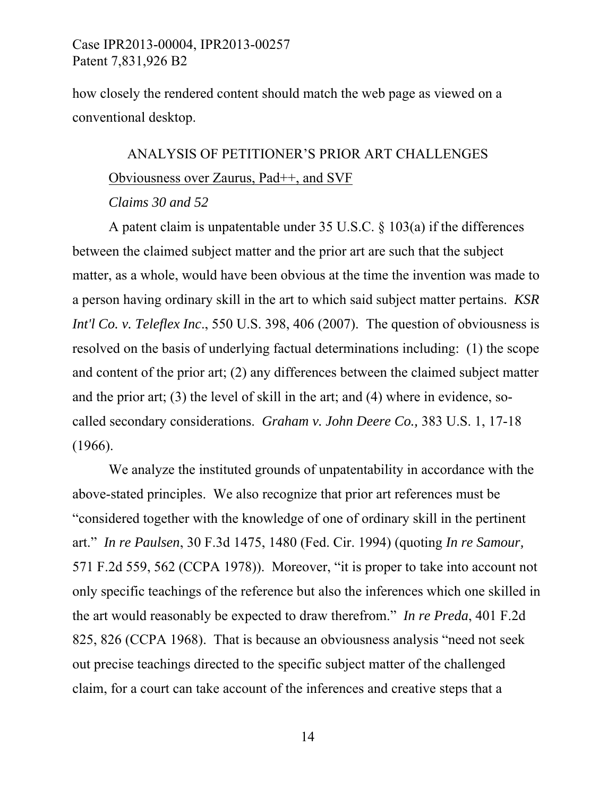how closely the rendered content should match the web page as viewed on a conventional desktop.

## ANALYSIS OF PETITIONER'S PRIOR ART CHALLENGES Obviousness over Zaurus, Pad++, and SVF

#### *Claims 30 and 52*

A patent claim is unpatentable under 35 U.S.C. § 103(a) if the differences between the claimed subject matter and the prior art are such that the subject matter, as a whole, would have been obvious at the time the invention was made to a person having ordinary skill in the art to which said subject matter pertains. *KSR Int'l Co. v. Teleflex Inc.*, 550 U.S. 398, 406 (2007). The question of obviousness is resolved on the basis of underlying factual determinations including: (1) the scope and content of the prior art; (2) any differences between the claimed subject matter and the prior art; (3) the level of skill in the art; and (4) where in evidence, socalled secondary considerations. *Graham v. John Deere Co.,* 383 U.S. 1, 17-18 (1966).

We analyze the instituted grounds of unpatentability in accordance with the above-stated principles. We also recognize that prior art references must be "considered together with the knowledge of one of ordinary skill in the pertinent art." *In re Paulsen*, 30 F.3d 1475, 1480 (Fed. Cir. 1994) (quoting *In re Samour,* 571 F.2d 559, 562 (CCPA 1978)). Moreover, "it is proper to take into account not only specific teachings of the reference but also the inferences which one skilled in the art would reasonably be expected to draw therefrom." *In re Preda*, 401 F.2d 825, 826 (CCPA 1968). That is because an obviousness analysis "need not seek out precise teachings directed to the specific subject matter of the challenged claim, for a court can take account of the inferences and creative steps that a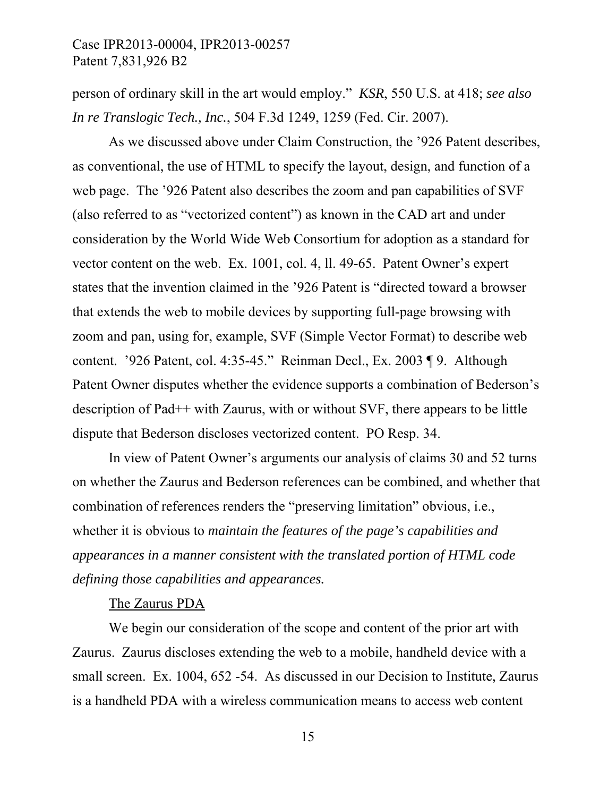person of ordinary skill in the art would employ." *KSR*, 550 U.S. at 418; *see also In re Translogic Tech., Inc.*, 504 F.3d 1249, 1259 (Fed. Cir. 2007).

As we discussed above under Claim Construction, the '926 Patent describes, as conventional, the use of HTML to specify the layout, design, and function of a web page. The '926 Patent also describes the zoom and pan capabilities of SVF (also referred to as "vectorized content") as known in the CAD art and under consideration by the World Wide Web Consortium for adoption as a standard for vector content on the web. Ex. 1001, col. 4, ll. 49-65. Patent Owner's expert states that the invention claimed in the '926 Patent is "directed toward a browser that extends the web to mobile devices by supporting full-page browsing with zoom and pan, using for, example, SVF (Simple Vector Format) to describe web content. '926 Patent, col. 4:35-45." Reinman Decl., Ex. 2003 ¶ 9. Although Patent Owner disputes whether the evidence supports a combination of Bederson's description of Pad++ with Zaurus, with or without SVF, there appears to be little dispute that Bederson discloses vectorized content. PO Resp. 34.

In view of Patent Owner's arguments our analysis of claims 30 and 52 turns on whether the Zaurus and Bederson references can be combined, and whether that combination of references renders the "preserving limitation" obvious, i.e., whether it is obvious to *maintain the features of the page's capabilities and appearances in a manner consistent with the translated portion of HTML code defining those capabilities and appearances.*

#### The Zaurus PDA

We begin our consideration of the scope and content of the prior art with Zaurus. Zaurus discloses extending the web to a mobile, handheld device with a small screen. Ex. 1004, 652 -54. As discussed in our Decision to Institute, Zaurus is a handheld PDA with a wireless communication means to access web content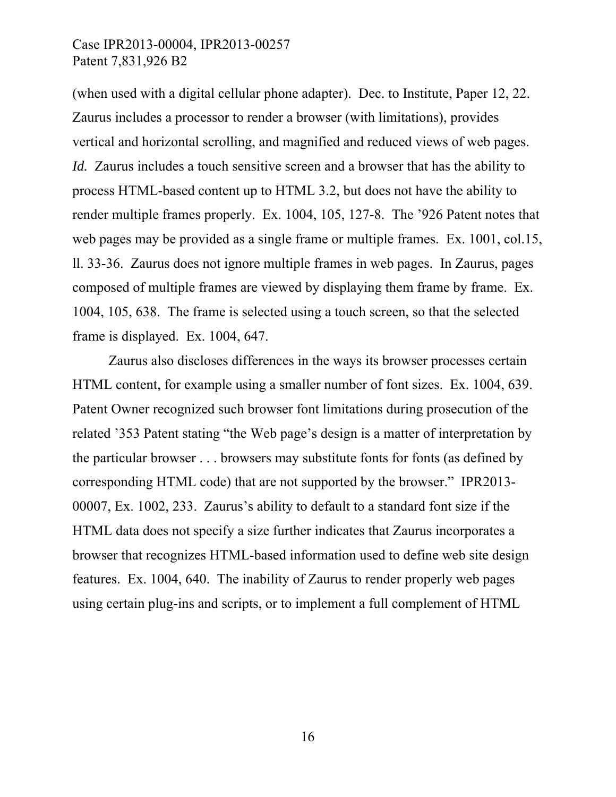(when used with a digital cellular phone adapter). Dec. to Institute, Paper 12, 22. Zaurus includes a processor to render a browser (with limitations), provides vertical and horizontal scrolling, and magnified and reduced views of web pages. *Id.* Zaurus includes a touch sensitive screen and a browser that has the ability to process HTML-based content up to HTML 3.2, but does not have the ability to render multiple frames properly. Ex. 1004, 105, 127-8. The '926 Patent notes that web pages may be provided as a single frame or multiple frames. Ex. 1001, col.15, ll. 33-36. Zaurus does not ignore multiple frames in web pages. In Zaurus, pages composed of multiple frames are viewed by displaying them frame by frame. Ex. 1004, 105, 638. The frame is selected using a touch screen, so that the selected frame is displayed. Ex. 1004, 647.

Zaurus also discloses differences in the ways its browser processes certain HTML content, for example using a smaller number of font sizes. Ex. 1004, 639. Patent Owner recognized such browser font limitations during prosecution of the related '353 Patent stating "the Web page's design is a matter of interpretation by the particular browser . . . browsers may substitute fonts for fonts (as defined by corresponding HTML code) that are not supported by the browser." IPR2013- 00007, Ex. 1002, 233. Zaurus's ability to default to a standard font size if the HTML data does not specify a size further indicates that Zaurus incorporates a browser that recognizes HTML-based information used to define web site design features. Ex. 1004, 640. The inability of Zaurus to render properly web pages using certain plug-ins and scripts, or to implement a full complement of HTML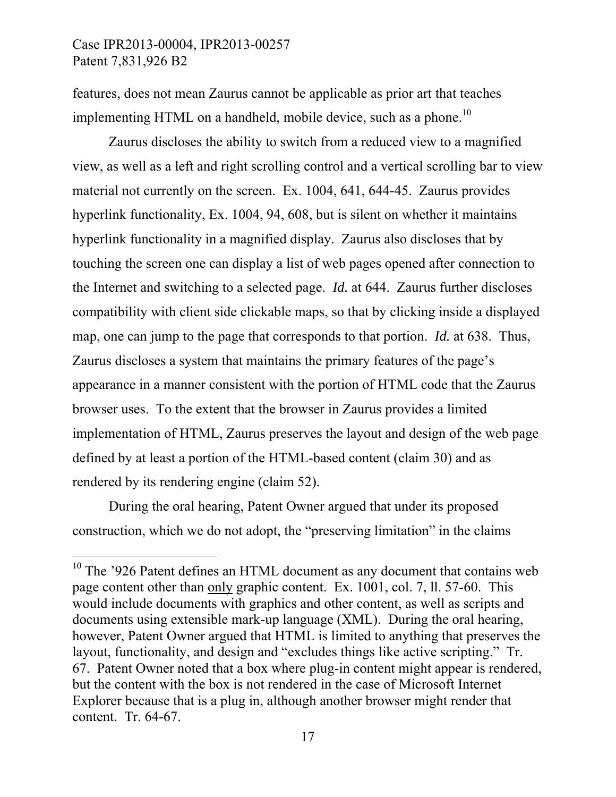-

features, does not mean Zaurus cannot be applicable as prior art that teaches implementing HTML on a handheld, mobile device, such as a phone.<sup>10</sup>

Zaurus discloses the ability to switch from a reduced view to a magnified view, as well as a left and right scrolling control and a vertical scrolling bar to view material not currently on the screen. Ex. 1004, 641, 644-45. Zaurus provides hyperlink functionality, Ex. 1004, 94, 608, but is silent on whether it maintains hyperlink functionality in a magnified display. Zaurus also discloses that by touching the screen one can display a list of web pages opened after connection to the Internet and switching to a selected page. *Id.* at 644. Zaurus further discloses compatibility with client side clickable maps, so that by clicking inside a displayed map, one can jump to the page that corresponds to that portion. *Id.* at 638. Thus, Zaurus discloses a system that maintains the primary features of the page's appearance in a manner consistent with the portion of HTML code that the Zaurus browser uses. To the extent that the browser in Zaurus provides a limited implementation of HTML, Zaurus preserves the layout and design of the web page defined by at least a portion of the HTML-based content (claim 30) and as rendered by its rendering engine (claim 52).

During the oral hearing, Patent Owner argued that under its proposed construction, which we do not adopt, the "preserving limitation" in the claims

<sup>&</sup>lt;sup>10</sup> The '926 Patent defines an HTML document as any document that contains web page content other than only graphic content. Ex. 1001, col. 7, ll. 57-60. This would include documents with graphics and other content, as well as scripts and documents using extensible mark-up language (XML). During the oral hearing, however, Patent Owner argued that HTML is limited to anything that preserves the layout, functionality, and design and "excludes things like active scripting." Tr. 67. Patent Owner noted that a box where plug-in content might appear is rendered, but the content with the box is not rendered in the case of Microsoft Internet Explorer because that is a plug in, although another browser might render that content. Tr. 64-67.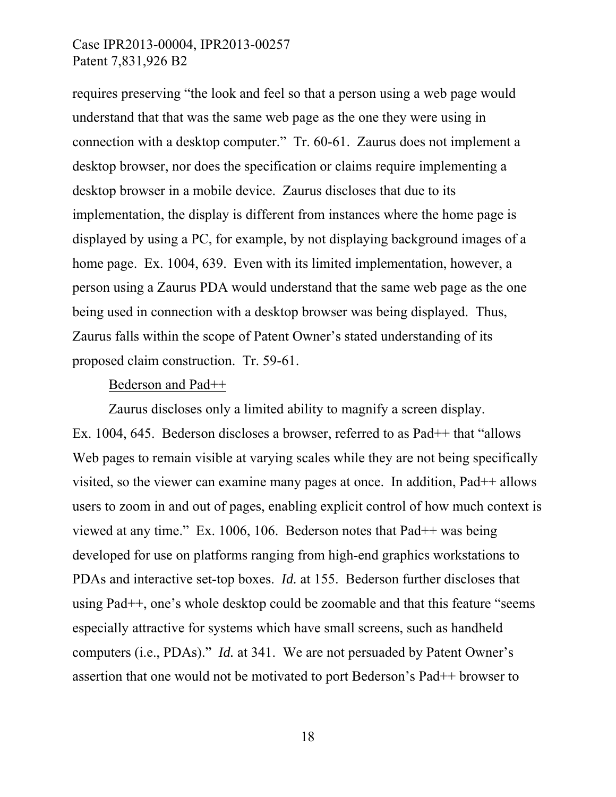requires preserving "the look and feel so that a person using a web page would understand that that was the same web page as the one they were using in connection with a desktop computer." Tr. 60-61. Zaurus does not implement a desktop browser, nor does the specification or claims require implementing a desktop browser in a mobile device. Zaurus discloses that due to its implementation, the display is different from instances where the home page is displayed by using a PC, for example, by not displaying background images of a home page. Ex. 1004, 639. Even with its limited implementation, however, a person using a Zaurus PDA would understand that the same web page as the one being used in connection with a desktop browser was being displayed. Thus, Zaurus falls within the scope of Patent Owner's stated understanding of its proposed claim construction. Tr. 59-61.

#### Bederson and Pad++

Zaurus discloses only a limited ability to magnify a screen display. Ex. 1004, 645. Bederson discloses a browser, referred to as Pad<sup>++</sup> that "allows" Web pages to remain visible at varying scales while they are not being specifically visited, so the viewer can examine many pages at once. In addition, Pad++ allows users to zoom in and out of pages, enabling explicit control of how much context is viewed at any time." Ex. 1006, 106. Bederson notes that Pad++ was being developed for use on platforms ranging from high-end graphics workstations to PDAs and interactive set-top boxes. *Id.* at 155. Bederson further discloses that using Pad++, one's whole desktop could be zoomable and that this feature "seems especially attractive for systems which have small screens, such as handheld computers (i.e., PDAs)." *Id.* at 341. We are not persuaded by Patent Owner's assertion that one would not be motivated to port Bederson's Pad++ browser to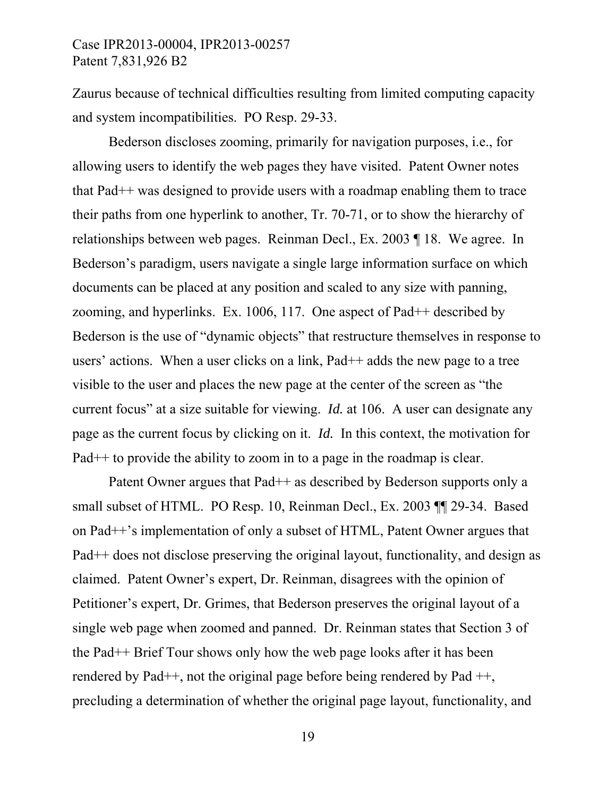Zaurus because of technical difficulties resulting from limited computing capacity and system incompatibilities. PO Resp. 29-33.

Bederson discloses zooming, primarily for navigation purposes, i.e., for allowing users to identify the web pages they have visited. Patent Owner notes that Pad++ was designed to provide users with a roadmap enabling them to trace their paths from one hyperlink to another, Tr. 70-71, or to show the hierarchy of relationships between web pages. Reinman Decl., Ex. 2003 ¶ 18. We agree. In Bederson's paradigm, users navigate a single large information surface on which documents can be placed at any position and scaled to any size with panning, zooming, and hyperlinks. Ex. 1006, 117. One aspect of Pad++ described by Bederson is the use of "dynamic objects" that restructure themselves in response to users' actions. When a user clicks on a link, Pad++ adds the new page to a tree visible to the user and places the new page at the center of the screen as "the current focus" at a size suitable for viewing. *Id.* at 106. A user can designate any page as the current focus by clicking on it. *Id.* In this context, the motivation for Pad++ to provide the ability to zoom in to a page in the roadmap is clear.

Patent Owner argues that Pad++ as described by Bederson supports only a small subset of HTML. PO Resp. 10, Reinman Decl., Ex. 2003 ¶¶ 29-34. Based on Pad++'s implementation of only a subset of HTML, Patent Owner argues that Pad++ does not disclose preserving the original layout, functionality, and design as claimed. Patent Owner's expert, Dr. Reinman, disagrees with the opinion of Petitioner's expert, Dr. Grimes, that Bederson preserves the original layout of a single web page when zoomed and panned. Dr. Reinman states that Section 3 of the Pad++ Brief Tour shows only how the web page looks after it has been rendered by Pad++, not the original page before being rendered by Pad ++, precluding a determination of whether the original page layout, functionality, and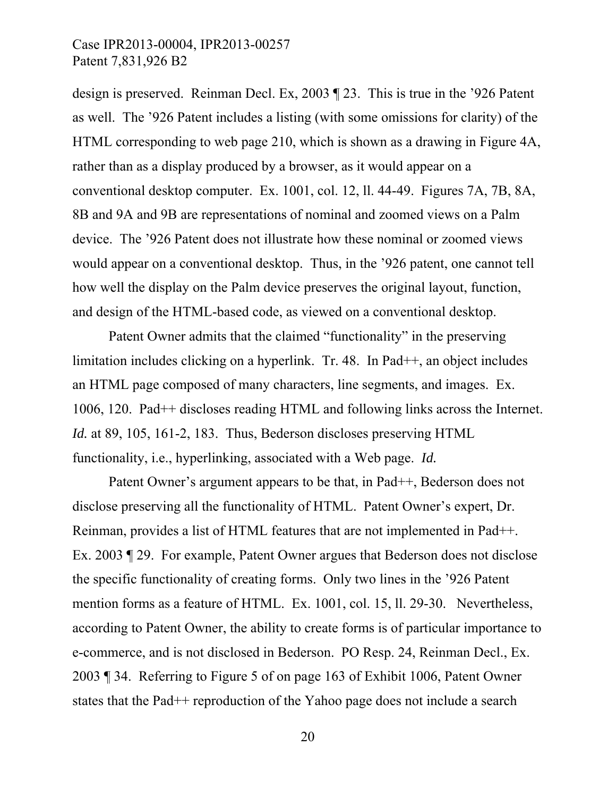design is preserved. Reinman Decl. Ex, 2003 ¶ 23. This is true in the '926 Patent as well. The '926 Patent includes a listing (with some omissions for clarity) of the HTML corresponding to web page 210, which is shown as a drawing in Figure 4A, rather than as a display produced by a browser, as it would appear on a conventional desktop computer. Ex. 1001, col. 12, ll. 44-49. Figures 7A, 7B, 8A, 8B and 9A and 9B are representations of nominal and zoomed views on a Palm device. The '926 Patent does not illustrate how these nominal or zoomed views would appear on a conventional desktop. Thus, in the '926 patent, one cannot tell how well the display on the Palm device preserves the original layout, function, and design of the HTML-based code, as viewed on a conventional desktop.

Patent Owner admits that the claimed "functionality" in the preserving limitation includes clicking on a hyperlink. Tr. 48. In Pad<sup>++</sup>, an object includes an HTML page composed of many characters, line segments, and images. Ex. 1006, 120. Pad++ discloses reading HTML and following links across the Internet. *Id.* at 89, 105, 161-2, 183. Thus, Bederson discloses preserving HTML functionality, i.e., hyperlinking, associated with a Web page. *Id.* 

Patent Owner's argument appears to be that, in Pad++, Bederson does not disclose preserving all the functionality of HTML. Patent Owner's expert, Dr. Reinman, provides a list of HTML features that are not implemented in Pad++. Ex. 2003 ¶ 29. For example, Patent Owner argues that Bederson does not disclose the specific functionality of creating forms. Only two lines in the '926 Patent mention forms as a feature of HTML. Ex. 1001, col. 15, ll. 29-30. Nevertheless, according to Patent Owner, the ability to create forms is of particular importance to e-commerce, and is not disclosed in Bederson. PO Resp. 24, Reinman Decl., Ex. 2003 ¶ 34. Referring to Figure 5 of on page 163 of Exhibit 1006, Patent Owner states that the Pad++ reproduction of the Yahoo page does not include a search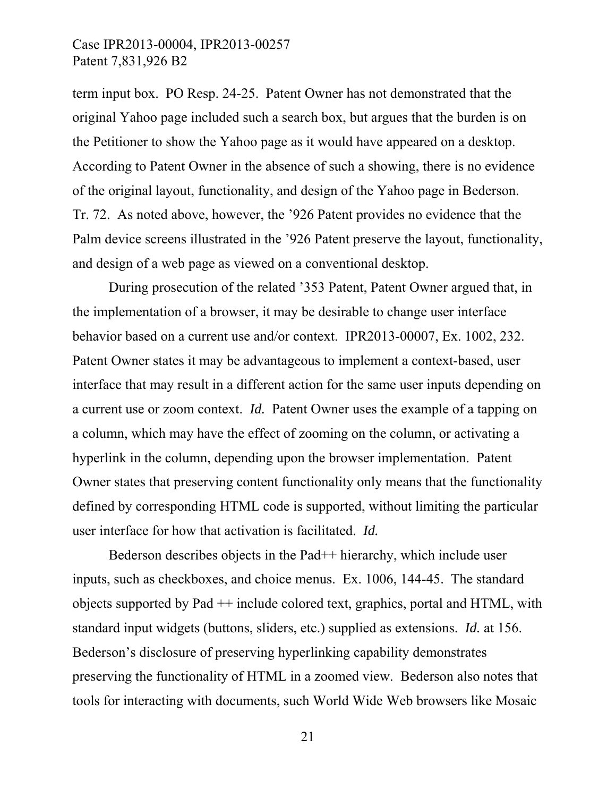term input box. PO Resp. 24-25. Patent Owner has not demonstrated that the original Yahoo page included such a search box, but argues that the burden is on the Petitioner to show the Yahoo page as it would have appeared on a desktop. According to Patent Owner in the absence of such a showing, there is no evidence of the original layout, functionality, and design of the Yahoo page in Bederson. Tr. 72. As noted above, however, the '926 Patent provides no evidence that the Palm device screens illustrated in the '926 Patent preserve the layout, functionality, and design of a web page as viewed on a conventional desktop.

During prosecution of the related '353 Patent, Patent Owner argued that, in the implementation of a browser, it may be desirable to change user interface behavior based on a current use and/or context. IPR2013-00007, Ex. 1002, 232. Patent Owner states it may be advantageous to implement a context-based, user interface that may result in a different action for the same user inputs depending on a current use or zoom context. *Id.* Patent Owner uses the example of a tapping on a column, which may have the effect of zooming on the column, or activating a hyperlink in the column, depending upon the browser implementation. Patent Owner states that preserving content functionality only means that the functionality defined by corresponding HTML code is supported, without limiting the particular user interface for how that activation is facilitated. *Id.* 

Bederson describes objects in the Pad++ hierarchy, which include user inputs, such as checkboxes, and choice menus. Ex. 1006, 144-45. The standard objects supported by Pad ++ include colored text, graphics, portal and HTML, with standard input widgets (buttons, sliders, etc.) supplied as extensions. *Id.* at 156. Bederson's disclosure of preserving hyperlinking capability demonstrates preserving the functionality of HTML in a zoomed view. Bederson also notes that tools for interacting with documents, such World Wide Web browsers like Mosaic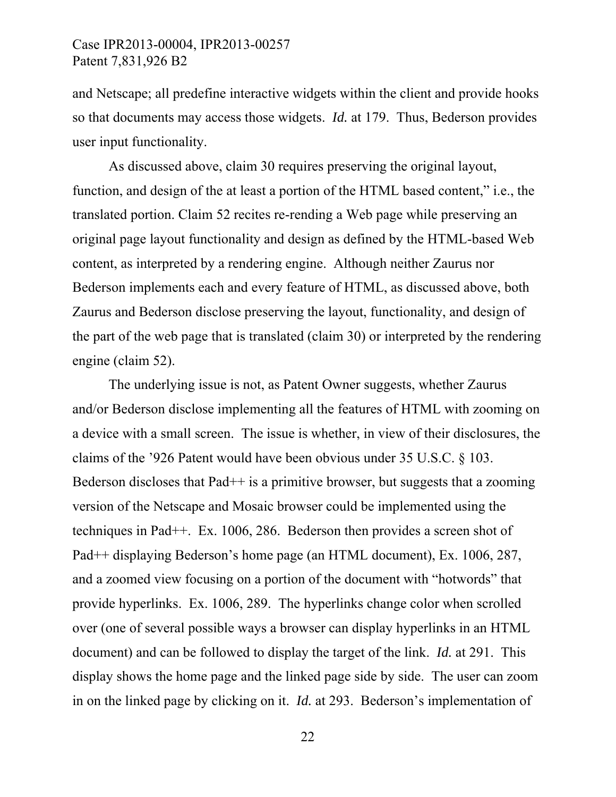and Netscape; all predefine interactive widgets within the client and provide hooks so that documents may access those widgets. *Id.* at 179. Thus, Bederson provides user input functionality.

As discussed above, claim 30 requires preserving the original layout, function, and design of the at least a portion of the HTML based content," i.e., the translated portion. Claim 52 recites re-rending a Web page while preserving an original page layout functionality and design as defined by the HTML-based Web content, as interpreted by a rendering engine. Although neither Zaurus nor Bederson implements each and every feature of HTML, as discussed above, both Zaurus and Bederson disclose preserving the layout, functionality, and design of the part of the web page that is translated (claim 30) or interpreted by the rendering engine (claim 52).

The underlying issue is not, as Patent Owner suggests, whether Zaurus and/or Bederson disclose implementing all the features of HTML with zooming on a device with a small screen. The issue is whether, in view of their disclosures, the claims of the '926 Patent would have been obvious under 35 U.S.C. § 103. Bederson discloses that  $Pad++$  is a primitive browser, but suggests that a zooming version of the Netscape and Mosaic browser could be implemented using the techniques in Pad++. Ex. 1006, 286. Bederson then provides a screen shot of Pad++ displaying Bederson's home page (an HTML document), Ex. 1006, 287, and a zoomed view focusing on a portion of the document with "hotwords" that provide hyperlinks. Ex. 1006, 289. The hyperlinks change color when scrolled over (one of several possible ways a browser can display hyperlinks in an HTML document) and can be followed to display the target of the link. *Id.* at 291. This display shows the home page and the linked page side by side. The user can zoom in on the linked page by clicking on it. *Id.* at 293. Bederson's implementation of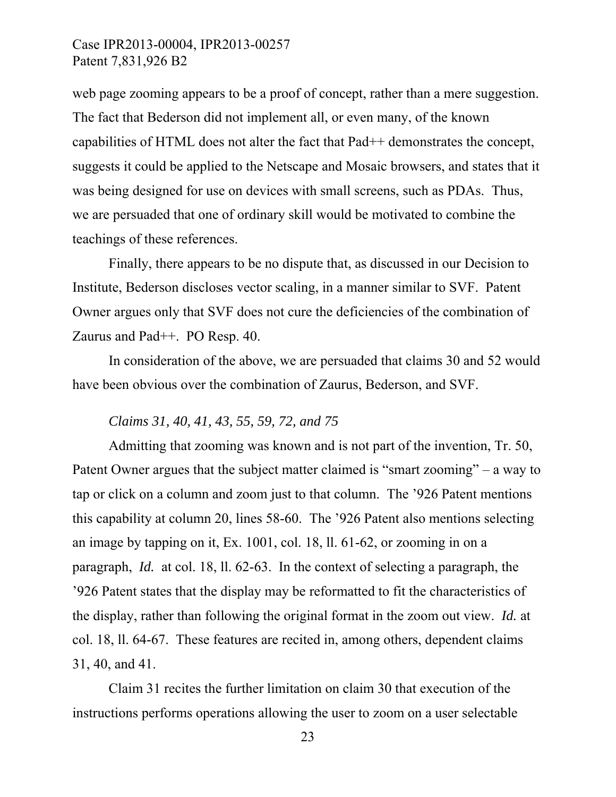web page zooming appears to be a proof of concept, rather than a mere suggestion. The fact that Bederson did not implement all, or even many, of the known capabilities of HTML does not alter the fact that Pad++ demonstrates the concept, suggests it could be applied to the Netscape and Mosaic browsers, and states that it was being designed for use on devices with small screens, such as PDAs. Thus, we are persuaded that one of ordinary skill would be motivated to combine the teachings of these references.

Finally, there appears to be no dispute that, as discussed in our Decision to Institute, Bederson discloses vector scaling, in a manner similar to SVF. Patent Owner argues only that SVF does not cure the deficiencies of the combination of Zaurus and Pad++. PO Resp. 40.

In consideration of the above, we are persuaded that claims 30 and 52 would have been obvious over the combination of Zaurus, Bederson, and SVF.

#### *Claims 31, 40, 41, 43, 55, 59, 72, and 75*

Admitting that zooming was known and is not part of the invention, Tr. 50, Patent Owner argues that the subject matter claimed is "smart zooming" – a way to tap or click on a column and zoom just to that column. The '926 Patent mentions this capability at column 20, lines 58-60. The '926 Patent also mentions selecting an image by tapping on it, Ex. 1001, col. 18, ll. 61-62, or zooming in on a paragraph, *Id.* at col. 18, ll. 62-63. In the context of selecting a paragraph, the '926 Patent states that the display may be reformatted to fit the characteristics of the display, rather than following the original format in the zoom out view. *Id.* at col. 18, ll. 64-67. These features are recited in, among others, dependent claims 31, 40, and 41.

Claim 31 recites the further limitation on claim 30 that execution of the instructions performs operations allowing the user to zoom on a user selectable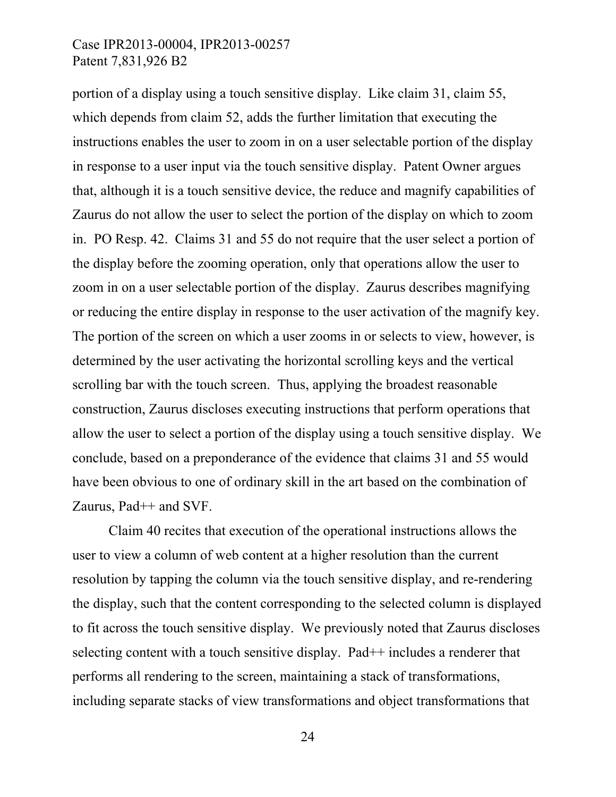portion of a display using a touch sensitive display. Like claim 31, claim 55, which depends from claim 52, adds the further limitation that executing the instructions enables the user to zoom in on a user selectable portion of the display in response to a user input via the touch sensitive display. Patent Owner argues that, although it is a touch sensitive device, the reduce and magnify capabilities of Zaurus do not allow the user to select the portion of the display on which to zoom in. PO Resp. 42. Claims 31 and 55 do not require that the user select a portion of the display before the zooming operation, only that operations allow the user to zoom in on a user selectable portion of the display. Zaurus describes magnifying or reducing the entire display in response to the user activation of the magnify key. The portion of the screen on which a user zooms in or selects to view, however, is determined by the user activating the horizontal scrolling keys and the vertical scrolling bar with the touch screen. Thus, applying the broadest reasonable construction, Zaurus discloses executing instructions that perform operations that allow the user to select a portion of the display using a touch sensitive display. We conclude, based on a preponderance of the evidence that claims 31 and 55 would have been obvious to one of ordinary skill in the art based on the combination of Zaurus, Pad++ and SVF.

Claim 40 recites that execution of the operational instructions allows the user to view a column of web content at a higher resolution than the current resolution by tapping the column via the touch sensitive display, and re-rendering the display, such that the content corresponding to the selected column is displayed to fit across the touch sensitive display. We previously noted that Zaurus discloses selecting content with a touch sensitive display. Pad++ includes a renderer that performs all rendering to the screen, maintaining a stack of transformations, including separate stacks of view transformations and object transformations that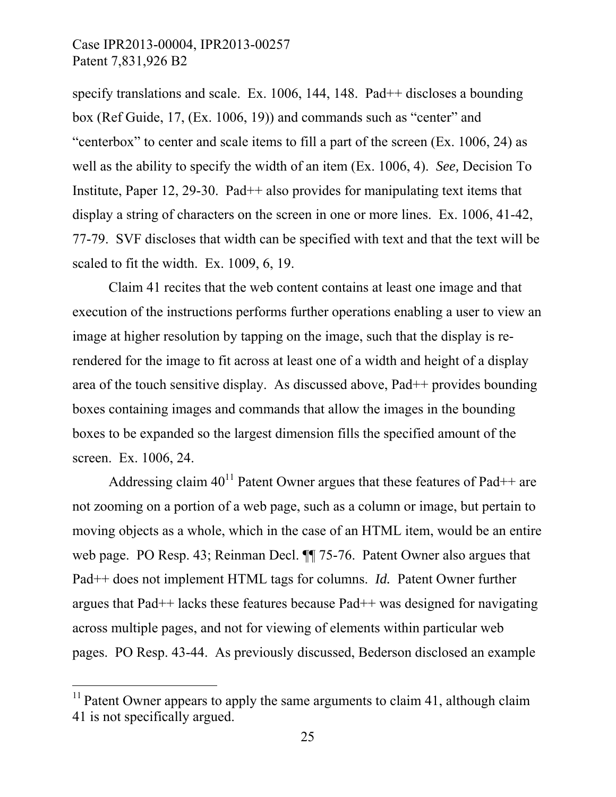specify translations and scale. Ex. 1006, 144, 148. Pad<sup>++</sup> discloses a bounding box (Ref Guide, 17, (Ex. 1006, 19)) and commands such as "center" and "centerbox" to center and scale items to fill a part of the screen (Ex. 1006, 24) as well as the ability to specify the width of an item (Ex. 1006, 4). *See,* Decision To Institute, Paper 12, 29-30. Pad<sup>++</sup> also provides for manipulating text items that display a string of characters on the screen in one or more lines. Ex. 1006, 41-42, 77-79. SVF discloses that width can be specified with text and that the text will be scaled to fit the width. Ex. 1009, 6, 19.

Claim 41 recites that the web content contains at least one image and that execution of the instructions performs further operations enabling a user to view an image at higher resolution by tapping on the image, such that the display is rerendered for the image to fit across at least one of a width and height of a display area of the touch sensitive display. As discussed above, Pad++ provides bounding boxes containing images and commands that allow the images in the bounding boxes to be expanded so the largest dimension fills the specified amount of the screen. Ex. 1006, 24.

Addressing claim  $40^{11}$  Patent Owner argues that these features of Pad++ are not zooming on a portion of a web page, such as a column or image, but pertain to moving objects as a whole, which in the case of an HTML item, would be an entire web page. PO Resp. 43; Reinman Decl. ¶¶ 75-76. Patent Owner also argues that Pad++ does not implement HTML tags for columns. *Id.* Patent Owner further argues that Pad++ lacks these features because Pad++ was designed for navigating across multiple pages, and not for viewing of elements within particular web pages. PO Resp. 43-44. As previously discussed, Bederson disclosed an example

 $\overline{a}$ 

<sup>&</sup>lt;sup>11</sup> Patent Owner appears to apply the same arguments to claim 41, although claim 41 is not specifically argued.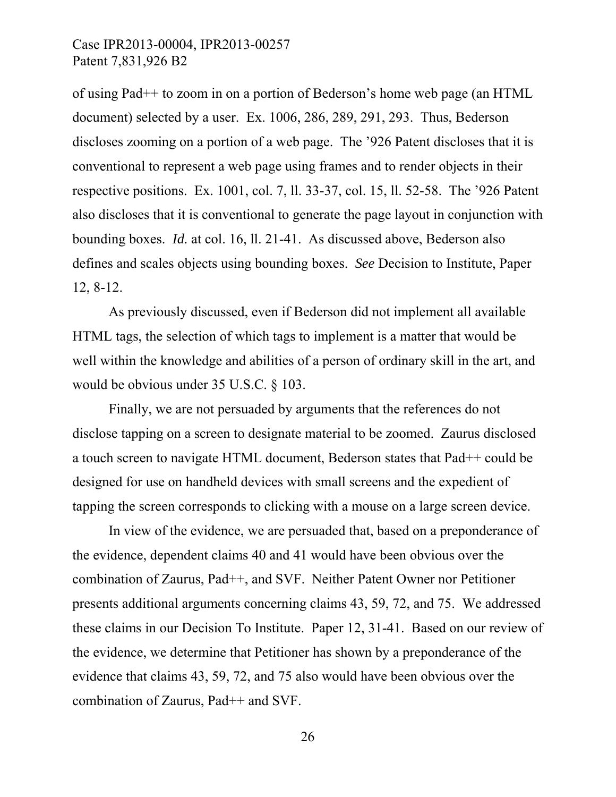of using Pad++ to zoom in on a portion of Bederson's home web page (an HTML document) selected by a user. Ex. 1006, 286, 289, 291, 293. Thus, Bederson discloses zooming on a portion of a web page. The '926 Patent discloses that it is conventional to represent a web page using frames and to render objects in their respective positions. Ex. 1001, col. 7, ll. 33-37, col. 15, ll. 52-58. The '926 Patent also discloses that it is conventional to generate the page layout in conjunction with bounding boxes. *Id.* at col. 16, ll. 21-41. As discussed above, Bederson also defines and scales objects using bounding boxes. *See* Decision to Institute, Paper 12, 8-12.

As previously discussed, even if Bederson did not implement all available HTML tags, the selection of which tags to implement is a matter that would be well within the knowledge and abilities of a person of ordinary skill in the art, and would be obvious under 35 U.S.C. § 103.

Finally, we are not persuaded by arguments that the references do not disclose tapping on a screen to designate material to be zoomed. Zaurus disclosed a touch screen to navigate HTML document, Bederson states that Pad++ could be designed for use on handheld devices with small screens and the expedient of tapping the screen corresponds to clicking with a mouse on a large screen device.

In view of the evidence, we are persuaded that, based on a preponderance of the evidence, dependent claims 40 and 41 would have been obvious over the combination of Zaurus, Pad++, and SVF. Neither Patent Owner nor Petitioner presents additional arguments concerning claims 43, 59, 72, and 75. We addressed these claims in our Decision To Institute. Paper 12, 31-41. Based on our review of the evidence, we determine that Petitioner has shown by a preponderance of the evidence that claims 43, 59, 72, and 75 also would have been obvious over the combination of Zaurus, Pad++ and SVF.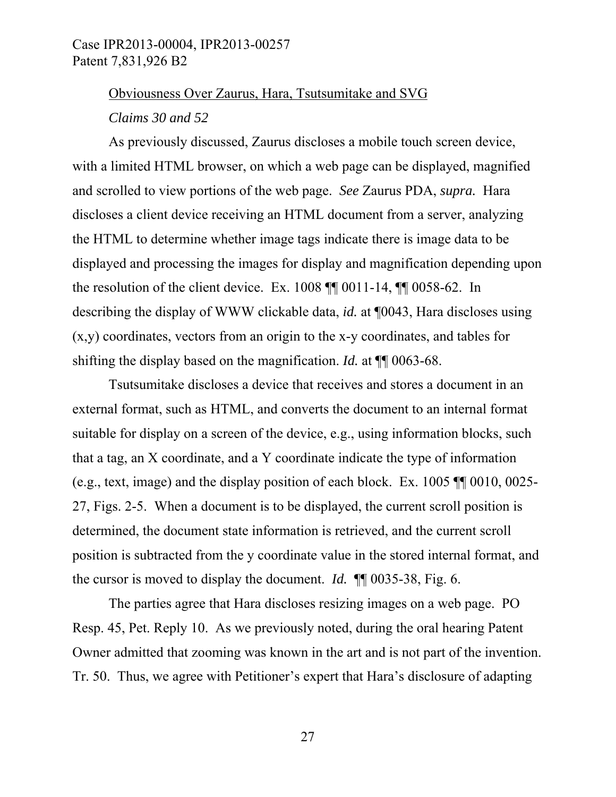# Obviousness Over Zaurus, Hara, Tsutsumitake and SVG

*Claims 30 and 52* 

As previously discussed, Zaurus discloses a mobile touch screen device, with a limited HTML browser, on which a web page can be displayed, magnified and scrolled to view portions of the web page. *See* Zaurus PDA, *supra.* Hara discloses a client device receiving an HTML document from a server, analyzing the HTML to determine whether image tags indicate there is image data to be displayed and processing the images for display and magnification depending upon the resolution of the client device. Ex. 1008 ¶¶ 0011-14, ¶¶ 0058-62. In describing the display of WWW clickable data, *id.* at ¶0043, Hara discloses using (x,y) coordinates, vectors from an origin to the x-y coordinates, and tables for shifting the display based on the magnification. *Id.* at ¶¶ 0063-68.

Tsutsumitake discloses a device that receives and stores a document in an external format, such as HTML, and converts the document to an internal format suitable for display on a screen of the device, e.g., using information blocks, such that a tag, an X coordinate, and a Y coordinate indicate the type of information (e.g., text, image) and the display position of each block. Ex. 1005 ¶¶ 0010, 0025- 27, Figs. 2-5. When a document is to be displayed, the current scroll position is determined, the document state information is retrieved, and the current scroll position is subtracted from the y coordinate value in the stored internal format, and the cursor is moved to display the document. *Id.* ¶¶ 0035-38, Fig. 6.

The parties agree that Hara discloses resizing images on a web page. PO Resp. 45, Pet. Reply 10. As we previously noted, during the oral hearing Patent Owner admitted that zooming was known in the art and is not part of the invention. Tr. 50. Thus, we agree with Petitioner's expert that Hara's disclosure of adapting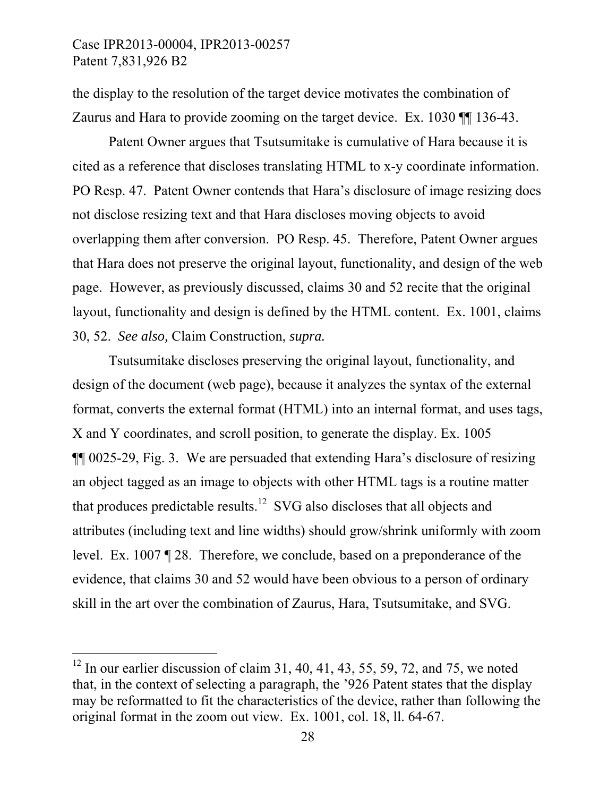$\overline{a}$ 

the display to the resolution of the target device motivates the combination of Zaurus and Hara to provide zooming on the target device. Ex. 1030 ¶¶ 136-43.

Patent Owner argues that Tsutsumitake is cumulative of Hara because it is cited as a reference that discloses translating HTML to x-y coordinate information. PO Resp. 47. Patent Owner contends that Hara's disclosure of image resizing does not disclose resizing text and that Hara discloses moving objects to avoid overlapping them after conversion. PO Resp. 45. Therefore, Patent Owner argues that Hara does not preserve the original layout, functionality, and design of the web page. However, as previously discussed, claims 30 and 52 recite that the original layout, functionality and design is defined by the HTML content. Ex. 1001, claims 30, 52. *See also,* Claim Construction, *supra.*

Tsutsumitake discloses preserving the original layout, functionality, and design of the document (web page), because it analyzes the syntax of the external format, converts the external format (HTML) into an internal format, and uses tags, X and Y coordinates, and scroll position, to generate the display. Ex. 1005 ¶¶ 0025-29, Fig. 3. We are persuaded that extending Hara's disclosure of resizing an object tagged as an image to objects with other HTML tags is a routine matter that produces predictable results.<sup>12</sup> SVG also discloses that all objects and attributes (including text and line widths) should grow/shrink uniformly with zoom level. Ex. 1007 ¶ 28. Therefore, we conclude, based on a preponderance of the evidence, that claims 30 and 52 would have been obvious to a person of ordinary skill in the art over the combination of Zaurus, Hara, Tsutsumitake, and SVG.

<sup>&</sup>lt;sup>12</sup> In our earlier discussion of claim 31, 40, 41, 43, 55, 59, 72, and 75, we noted that, in the context of selecting a paragraph, the '926 Patent states that the display may be reformatted to fit the characteristics of the device, rather than following the original format in the zoom out view. Ex. 1001, col. 18, ll. 64-67.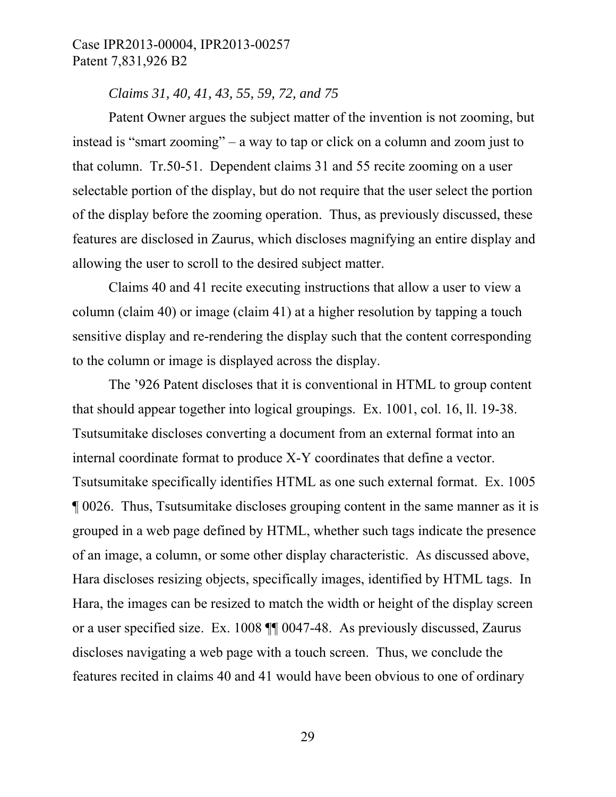#### *Claims 31, 40, 41, 43, 55, 59, 72, and 75*

Patent Owner argues the subject matter of the invention is not zooming, but instead is "smart zooming" – a way to tap or click on a column and zoom just to that column. Tr.50-51. Dependent claims 31 and 55 recite zooming on a user selectable portion of the display, but do not require that the user select the portion of the display before the zooming operation. Thus, as previously discussed, these features are disclosed in Zaurus, which discloses magnifying an entire display and allowing the user to scroll to the desired subject matter.

Claims 40 and 41 recite executing instructions that allow a user to view a column (claim 40) or image (claim 41) at a higher resolution by tapping a touch sensitive display and re-rendering the display such that the content corresponding to the column or image is displayed across the display.

The '926 Patent discloses that it is conventional in HTML to group content that should appear together into logical groupings. Ex. 1001, col. 16, ll. 19-38. Tsutsumitake discloses converting a document from an external format into an internal coordinate format to produce X-Y coordinates that define a vector. Tsutsumitake specifically identifies HTML as one such external format. Ex. 1005 ¶ 0026. Thus, Tsutsumitake discloses grouping content in the same manner as it is grouped in a web page defined by HTML, whether such tags indicate the presence of an image, a column, or some other display characteristic. As discussed above, Hara discloses resizing objects, specifically images, identified by HTML tags. In Hara, the images can be resized to match the width or height of the display screen or a user specified size. Ex. 1008 ¶¶ 0047-48. As previously discussed, Zaurus discloses navigating a web page with a touch screen. Thus, we conclude the features recited in claims 40 and 41 would have been obvious to one of ordinary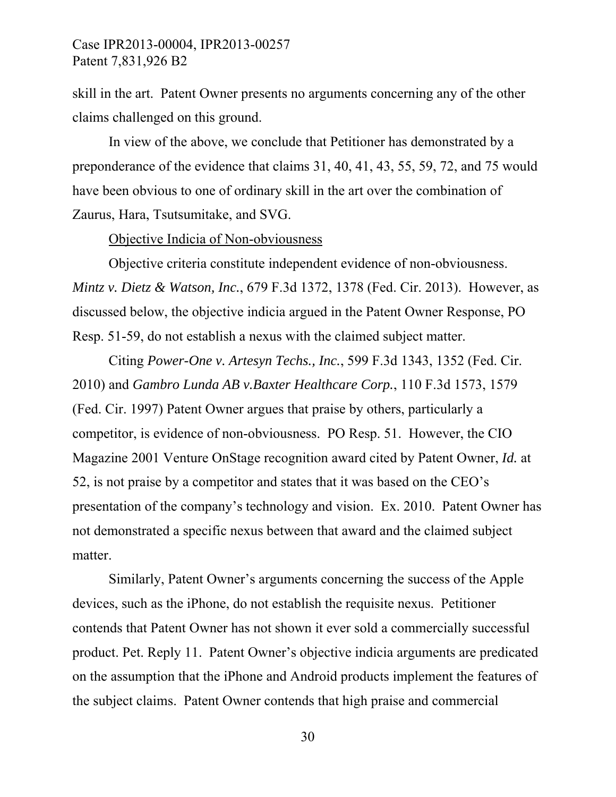skill in the art. Patent Owner presents no arguments concerning any of the other claims challenged on this ground.

In view of the above, we conclude that Petitioner has demonstrated by a preponderance of the evidence that claims 31, 40, 41, 43, 55, 59, 72, and 75 would have been obvious to one of ordinary skill in the art over the combination of Zaurus, Hara, Tsutsumitake, and SVG.

Objective Indicia of Non-obviousness

Objective criteria constitute independent evidence of non-obviousness. *Mintz v. Dietz & Watson, Inc.*, 679 F.3d 1372, 1378 (Fed. Cir. 2013). However, as discussed below, the objective indicia argued in the Patent Owner Response, PO Resp. 51-59, do not establish a nexus with the claimed subject matter.

Citing *Power-One v. Artesyn Techs., Inc.*, 599 F.3d 1343, 1352 (Fed. Cir. 2010) and *Gambro Lunda AB v.Baxter Healthcare Corp.*, 110 F.3d 1573, 1579 (Fed. Cir. 1997) Patent Owner argues that praise by others, particularly a competitor, is evidence of non-obviousness. PO Resp. 51. However, the CIO Magazine 2001 Venture OnStage recognition award cited by Patent Owner, *Id.* at 52, is not praise by a competitor and states that it was based on the CEO's presentation of the company's technology and vision. Ex. 2010. Patent Owner has not demonstrated a specific nexus between that award and the claimed subject matter.

Similarly, Patent Owner's arguments concerning the success of the Apple devices, such as the iPhone, do not establish the requisite nexus. Petitioner contends that Patent Owner has not shown it ever sold a commercially successful product. Pet. Reply 11. Patent Owner's objective indicia arguments are predicated on the assumption that the iPhone and Android products implement the features of the subject claims. Patent Owner contends that high praise and commercial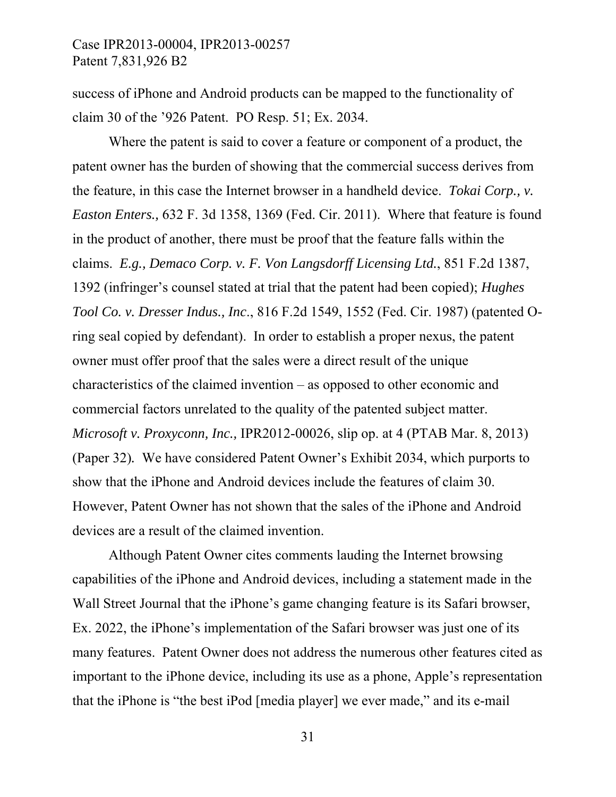success of iPhone and Android products can be mapped to the functionality of claim 30 of the '926 Patent. PO Resp. 51; Ex. 2034.

Where the patent is said to cover a feature or component of a product, the patent owner has the burden of showing that the commercial success derives from the feature, in this case the Internet browser in a handheld device. *Tokai Corp., v. Easton Enters.,* 632 F. 3d 1358, 1369 (Fed. Cir. 2011). Where that feature is found in the product of another, there must be proof that the feature falls within the claims. *E.g., Demaco Corp. v. F. Von Langsdorff Licensing Ltd.*, 851 F.2d 1387, 1392 (infringer's counsel stated at trial that the patent had been copied); *Hughes Tool Co. v. Dresser Indus., Inc*., 816 F.2d 1549, 1552 (Fed. Cir. 1987) (patented Oring seal copied by defendant). In order to establish a proper nexus, the patent owner must offer proof that the sales were a direct result of the unique characteristics of the claimed invention – as opposed to other economic and commercial factors unrelated to the quality of the patented subject matter. *Microsoft v. Proxyconn, Inc.,* IPR2012-00026, slip op. at 4 (PTAB Mar. 8, 2013) (Paper 32)*.* We have considered Patent Owner's Exhibit 2034, which purports to show that the iPhone and Android devices include the features of claim 30. However, Patent Owner has not shown that the sales of the iPhone and Android devices are a result of the claimed invention.

Although Patent Owner cites comments lauding the Internet browsing capabilities of the iPhone and Android devices, including a statement made in the Wall Street Journal that the iPhone's game changing feature is its Safari browser, Ex. 2022, the iPhone's implementation of the Safari browser was just one of its many features. Patent Owner does not address the numerous other features cited as important to the iPhone device, including its use as a phone, Apple's representation that the iPhone is "the best iPod [media player] we ever made," and its e-mail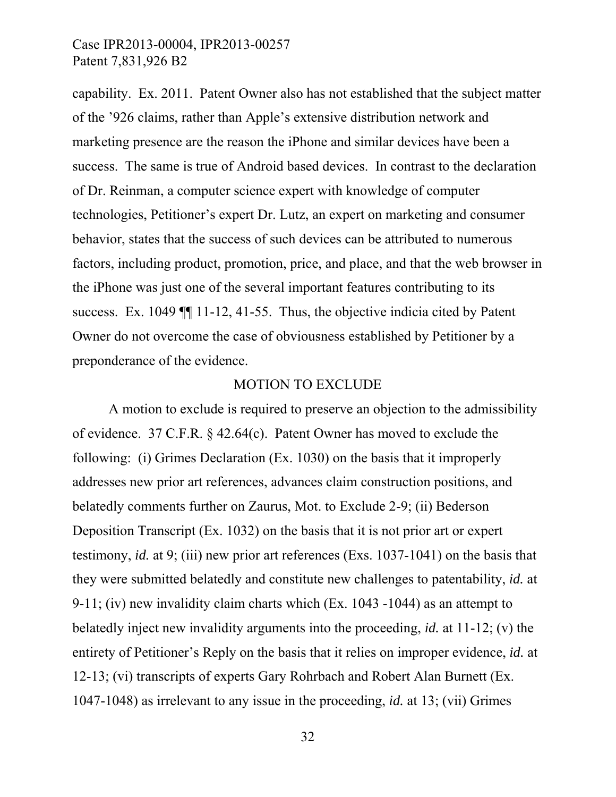capability. Ex. 2011. Patent Owner also has not established that the subject matter of the '926 claims, rather than Apple's extensive distribution network and marketing presence are the reason the iPhone and similar devices have been a success. The same is true of Android based devices. In contrast to the declaration of Dr. Reinman, a computer science expert with knowledge of computer technologies, Petitioner's expert Dr. Lutz, an expert on marketing and consumer behavior, states that the success of such devices can be attributed to numerous factors, including product, promotion, price, and place, and that the web browser in the iPhone was just one of the several important features contributing to its success. Ex. 1049 ¶¶ 11-12, 41-55. Thus, the objective indicia cited by Patent Owner do not overcome the case of obviousness established by Petitioner by a preponderance of the evidence.

#### MOTION TO EXCLUDE

A motion to exclude is required to preserve an objection to the admissibility of evidence. 37 C.F.R. § 42.64(c). Patent Owner has moved to exclude the following: (i) Grimes Declaration (Ex. 1030) on the basis that it improperly addresses new prior art references, advances claim construction positions, and belatedly comments further on Zaurus, Mot. to Exclude 2-9; (ii) Bederson Deposition Transcript (Ex. 1032) on the basis that it is not prior art or expert testimony, *id.* at 9; (iii) new prior art references (Exs. 1037-1041) on the basis that they were submitted belatedly and constitute new challenges to patentability, *id.* at 9-11; (iv) new invalidity claim charts which (Ex. 1043 -1044) as an attempt to belatedly inject new invalidity arguments into the proceeding, *id.* at 11-12; (v) the entirety of Petitioner's Reply on the basis that it relies on improper evidence, *id.* at 12-13; (vi) transcripts of experts Gary Rohrbach and Robert Alan Burnett (Ex. 1047-1048) as irrelevant to any issue in the proceeding, *id.* at 13; (vii) Grimes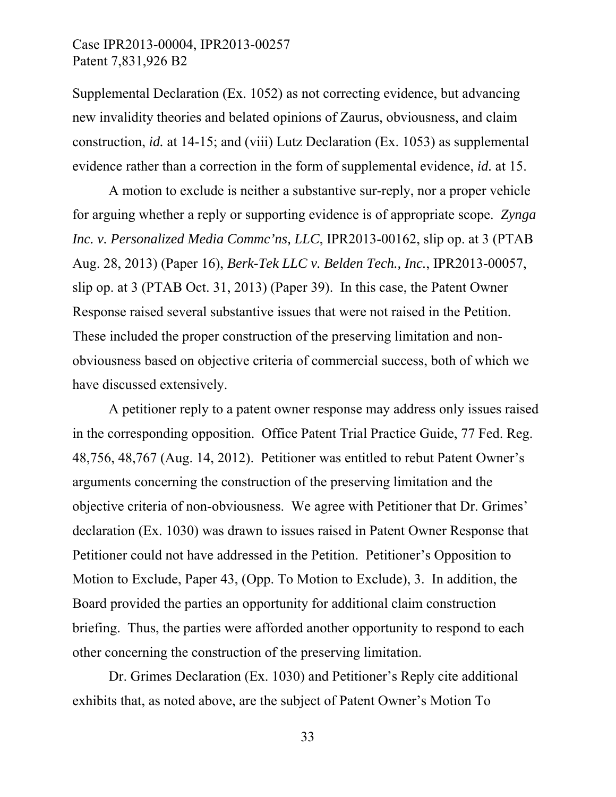Supplemental Declaration (Ex. 1052) as not correcting evidence, but advancing new invalidity theories and belated opinions of Zaurus, obviousness, and claim construction, *id.* at 14-15; and (viii) Lutz Declaration (Ex. 1053) as supplemental evidence rather than a correction in the form of supplemental evidence, *id.* at 15.

A motion to exclude is neither a substantive sur-reply, nor a proper vehicle for arguing whether a reply or supporting evidence is of appropriate scope. *Zynga Inc. v. Personalized Media Commc'ns, LLC*, IPR2013-00162, slip op. at 3 (PTAB Aug. 28, 2013) (Paper 16), *Berk-Tek LLC v. Belden Tech., Inc.*, IPR2013-00057, slip op. at 3 (PTAB Oct. 31, 2013) (Paper 39). In this case, the Patent Owner Response raised several substantive issues that were not raised in the Petition. These included the proper construction of the preserving limitation and nonobviousness based on objective criteria of commercial success, both of which we have discussed extensively.

A petitioner reply to a patent owner response may address only issues raised in the corresponding opposition. Office Patent Trial Practice Guide, 77 Fed. Reg. 48,756, 48,767 (Aug. 14, 2012). Petitioner was entitled to rebut Patent Owner's arguments concerning the construction of the preserving limitation and the objective criteria of non-obviousness. We agree with Petitioner that Dr. Grimes' declaration (Ex. 1030) was drawn to issues raised in Patent Owner Response that Petitioner could not have addressed in the Petition. Petitioner's Opposition to Motion to Exclude, Paper 43, (Opp. To Motion to Exclude), 3. In addition, the Board provided the parties an opportunity for additional claim construction briefing. Thus, the parties were afforded another opportunity to respond to each other concerning the construction of the preserving limitation.

Dr. Grimes Declaration (Ex. 1030) and Petitioner's Reply cite additional exhibits that, as noted above, are the subject of Patent Owner's Motion To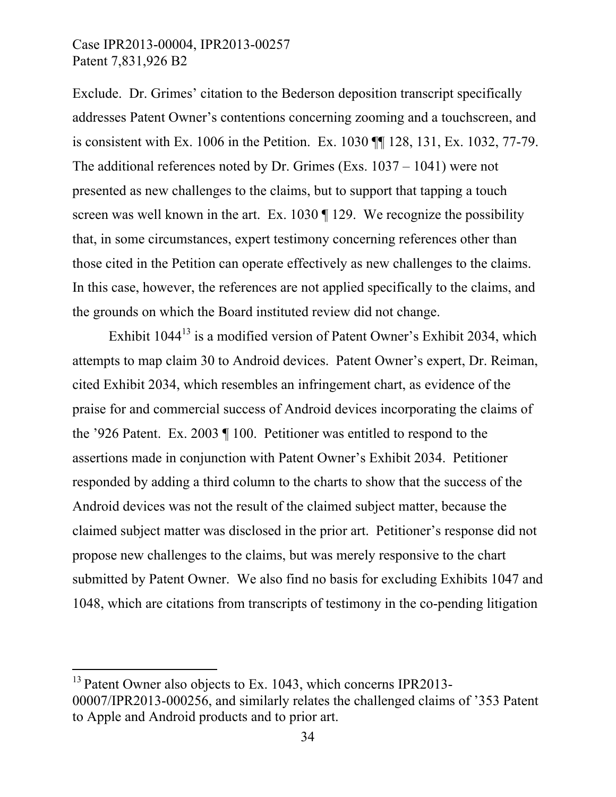$\overline{a}$ 

Exclude. Dr. Grimes' citation to the Bederson deposition transcript specifically addresses Patent Owner's contentions concerning zooming and a touchscreen, and is consistent with Ex. 1006 in the Petition. Ex. 1030 ¶¶ 128, 131, Ex. 1032, 77-79. The additional references noted by Dr. Grimes (Exs. 1037 – 1041) were not presented as new challenges to the claims, but to support that tapping a touch screen was well known in the art. Ex. 1030 [ 129. We recognize the possibility that, in some circumstances, expert testimony concerning references other than those cited in the Petition can operate effectively as new challenges to the claims. In this case, however, the references are not applied specifically to the claims, and the grounds on which the Board instituted review did not change.

Exhibit 1044<sup>13</sup> is a modified version of Patent Owner's Exhibit 2034, which attempts to map claim 30 to Android devices. Patent Owner's expert, Dr. Reiman, cited Exhibit 2034, which resembles an infringement chart, as evidence of the praise for and commercial success of Android devices incorporating the claims of the '926 Patent. Ex. 2003 ¶ 100. Petitioner was entitled to respond to the assertions made in conjunction with Patent Owner's Exhibit 2034. Petitioner responded by adding a third column to the charts to show that the success of the Android devices was not the result of the claimed subject matter, because the claimed subject matter was disclosed in the prior art. Petitioner's response did not propose new challenges to the claims, but was merely responsive to the chart submitted by Patent Owner. We also find no basis for excluding Exhibits 1047 and 1048, which are citations from transcripts of testimony in the co-pending litigation

<sup>&</sup>lt;sup>13</sup> Patent Owner also objects to Ex. 1043, which concerns IPR2013-00007/IPR2013-000256, and similarly relates the challenged claims of '353 Patent to Apple and Android products and to prior art.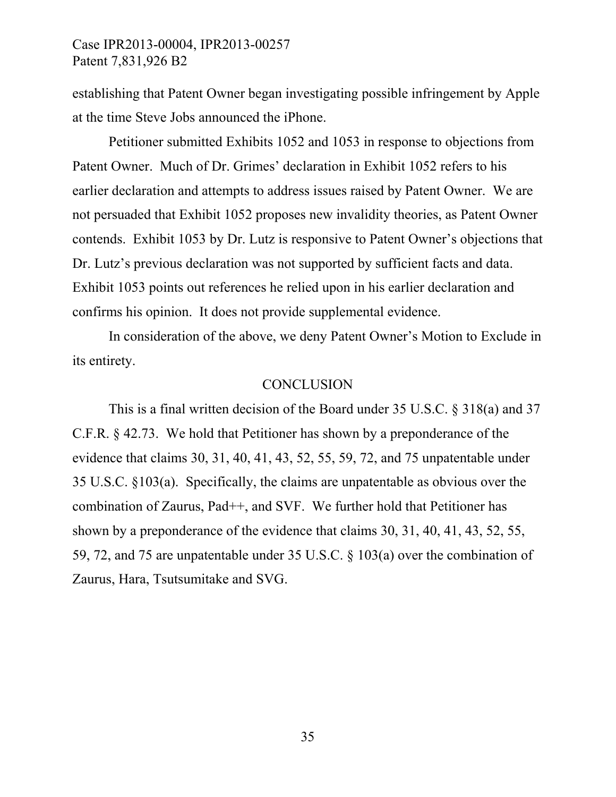establishing that Patent Owner began investigating possible infringement by Apple at the time Steve Jobs announced the iPhone.

Petitioner submitted Exhibits 1052 and 1053 in response to objections from Patent Owner. Much of Dr. Grimes' declaration in Exhibit 1052 refers to his earlier declaration and attempts to address issues raised by Patent Owner. We are not persuaded that Exhibit 1052 proposes new invalidity theories, as Patent Owner contends. Exhibit 1053 by Dr. Lutz is responsive to Patent Owner's objections that Dr. Lutz's previous declaration was not supported by sufficient facts and data. Exhibit 1053 points out references he relied upon in his earlier declaration and confirms his opinion. It does not provide supplemental evidence.

In consideration of the above, we deny Patent Owner's Motion to Exclude in its entirety.

#### **CONCLUSION**

This is a final written decision of the Board under 35 U.S.C. § 318(a) and 37 C.F.R. § 42.73. We hold that Petitioner has shown by a preponderance of the evidence that claims 30, 31, 40, 41, 43, 52, 55, 59, 72, and 75 unpatentable under 35 U.S.C. §103(a). Specifically, the claims are unpatentable as obvious over the combination of Zaurus, Pad++, and SVF. We further hold that Petitioner has shown by a preponderance of the evidence that claims 30, 31, 40, 41, 43, 52, 55, 59, 72, and 75 are unpatentable under 35 U.S.C. § 103(a) over the combination of Zaurus, Hara, Tsutsumitake and SVG.